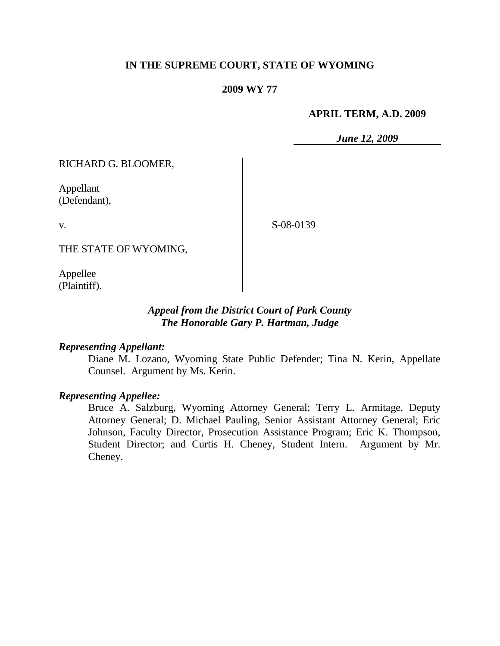## **IN THE SUPREME COURT, STATE OF WYOMING**

## **2009 WY 77**

#### **APRIL TERM, A.D. 2009**

*June 12, 2009*

RICHARD G. BLOOMER,

Appellant (Defendant),

v.

S-08-0139

THE STATE OF WYOMING,

Appellee (Plaintiff).

## *Appeal from the District Court of Park County The Honorable Gary P. Hartman, Judge*

## *Representing Appellant:*

Diane M. Lozano, Wyoming State Public Defender; Tina N. Kerin, Appellate Counsel. Argument by Ms. Kerin.

## *Representing Appellee:*

Bruce A. Salzburg, Wyoming Attorney General; Terry L. Armitage, Deputy Attorney General; D. Michael Pauling, Senior Assistant Attorney General; Eric Johnson, Faculty Director, Prosecution Assistance Program; Eric K. Thompson, Student Director; and Curtis H. Cheney, Student Intern. Argument by Mr. Cheney.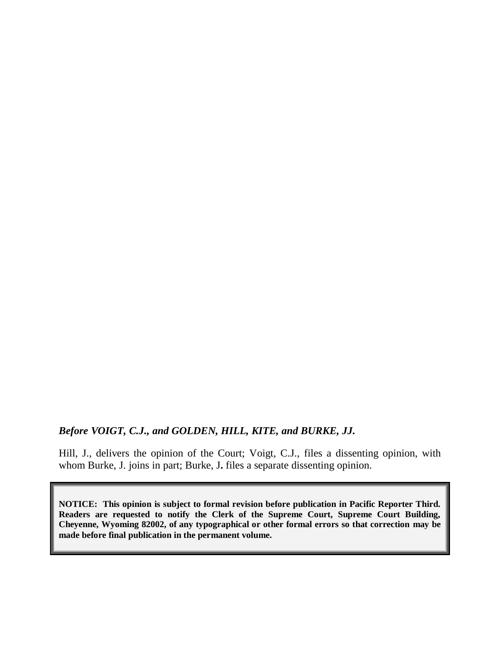## *Before VOIGT, C.J., and GOLDEN, HILL, KITE, and BURKE, JJ.*

Hill, J., delivers the opinion of the Court; Voigt, C.J., files a dissenting opinion, with whom Burke, J. joins in part; Burke, J**.** files a separate dissenting opinion.

**NOTICE: This opinion is subject to formal revision before publication in Pacific Reporter Third. Readers are requested to notify the Clerk of the Supreme Court, Supreme Court Building, Cheyenne, Wyoming 82002, of any typographical or other formal errors so that correction may be made before final publication in the permanent volume.**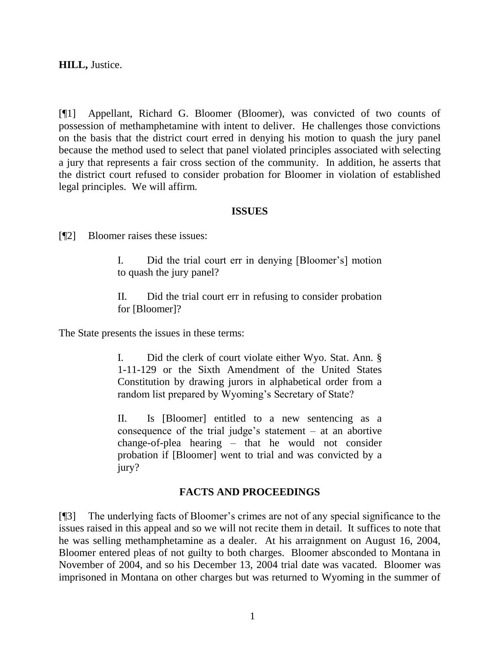**HILL,** Justice.

[¶1] Appellant, Richard G. Bloomer (Bloomer), was convicted of two counts of possession of methamphetamine with intent to deliver. He challenges those convictions on the basis that the district court erred in denying his motion to quash the jury panel because the method used to select that panel violated principles associated with selecting a jury that represents a fair cross section of the community. In addition, he asserts that the district court refused to consider probation for Bloomer in violation of established legal principles. We will affirm.

## **ISSUES**

[¶2] Bloomer raises these issues:

I. Did the trial court err in denying [Bloomer"s] motion to quash the jury panel?

II. Did the trial court err in refusing to consider probation for [Bloomer]?

The State presents the issues in these terms:

I. Did the clerk of court violate either Wyo. Stat. Ann. § 1-11-129 or the Sixth Amendment of the United States Constitution by drawing jurors in alphabetical order from a random list prepared by Wyoming's Secretary of State?

II. Is [Bloomer] entitled to a new sentencing as a consequence of the trial judge's statement  $-$  at an abortive change-of-plea hearing – that he would not consider probation if [Bloomer] went to trial and was convicted by a jury?

## **FACTS AND PROCEEDINGS**

[¶3] The underlying facts of Bloomer"s crimes are not of any special significance to the issues raised in this appeal and so we will not recite them in detail. It suffices to note that he was selling methamphetamine as a dealer. At his arraignment on August 16, 2004, Bloomer entered pleas of not guilty to both charges. Bloomer absconded to Montana in November of 2004, and so his December 13, 2004 trial date was vacated. Bloomer was imprisoned in Montana on other charges but was returned to Wyoming in the summer of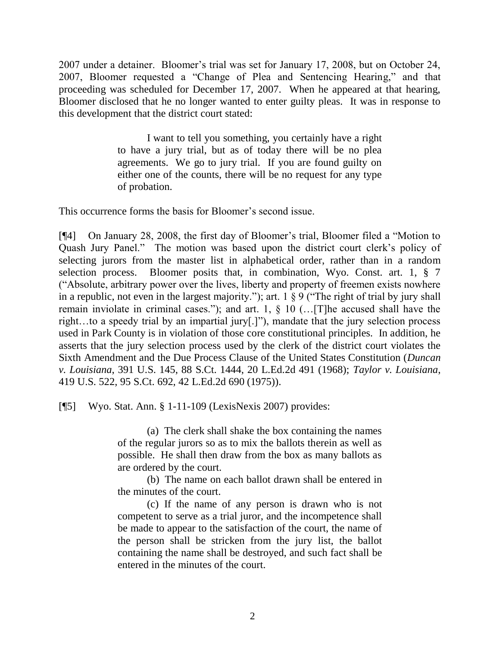2007 under a detainer. Bloomer"s trial was set for January 17, 2008, but on October 24, 2007, Bloomer requested a "Change of Plea and Sentencing Hearing," and that proceeding was scheduled for December 17, 2007. When he appeared at that hearing, Bloomer disclosed that he no longer wanted to enter guilty pleas. It was in response to this development that the district court stated:

> I want to tell you something, you certainly have a right to have a jury trial, but as of today there will be no plea agreements. We go to jury trial. If you are found guilty on either one of the counts, there will be no request for any type of probation.

This occurrence forms the basis for Bloomer's second issue.

[¶4] On January 28, 2008, the first day of Bloomer"s trial, Bloomer filed a "Motion to Quash Jury Panel." The motion was based upon the district court clerk"s policy of selecting jurors from the master list in alphabetical order, rather than in a random selection process. Bloomer posits that, in combination, Wyo. Const. art. 1, § 7 ("Absolute, arbitrary power over the lives, liberty and property of freemen exists nowhere in a republic, not even in the largest majority."); art. 1 § 9 ("The right of trial by jury shall remain inviolate in criminal cases."); and art. 1, § 10 (…[T]he accused shall have the right…to a speedy trial by an impartial jury[.]"), mandate that the jury selection process used in Park County is in violation of those core constitutional principles. In addition, he asserts that the jury selection process used by the clerk of the district court violates the Sixth Amendment and the Due Process Clause of the United States Constitution (*Duncan v. Louisiana*, 391 U.S. 145, 88 S.Ct. 1444, 20 L.Ed.2d 491 (1968); *Taylor v. Louisiana*, 419 U.S. 522, 95 S.Ct. 692, 42 L.Ed.2d 690 (1975)).

[¶5] Wyo. Stat. Ann. § 1-11-109 (LexisNexis 2007) provides:

(a) The clerk shall shake the box containing the names of the regular jurors so as to mix the ballots therein as well as possible. He shall then draw from the box as many ballots as are ordered by the court.

(b) The name on each ballot drawn shall be entered in the minutes of the court.

(c) If the name of any person is drawn who is not competent to serve as a trial juror, and the incompetence shall be made to appear to the satisfaction of the court, the name of the person shall be stricken from the jury list, the ballot containing the name shall be destroyed, and such fact shall be entered in the minutes of the court.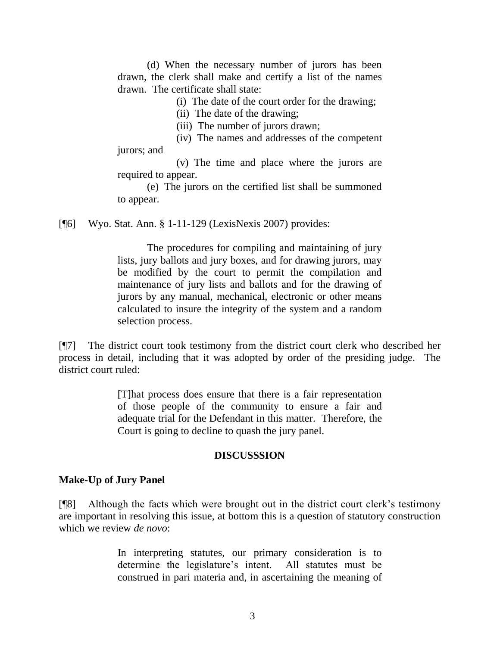(d) When the necessary number of jurors has been drawn, the clerk shall make and certify a list of the names drawn. The certificate shall state:

(i) The date of the court order for the drawing;

(ii) The date of the drawing;

(iii) The number of jurors drawn;

(iv) The names and addresses of the competent jurors; and

(v) The time and place where the jurors are required to appear.

(e) The jurors on the certified list shall be summoned to appear.

[¶6] Wyo. Stat. Ann. § 1-11-129 (LexisNexis 2007) provides:

The procedures for compiling and maintaining of jury lists, jury ballots and jury boxes, and for drawing jurors, may be modified by the court to permit the compilation and maintenance of jury lists and ballots and for the drawing of jurors by any manual, mechanical, electronic or other means calculated to insure the integrity of the system and a random selection process.

[¶7] The district court took testimony from the district court clerk who described her process in detail, including that it was adopted by order of the presiding judge. The district court ruled:

> [T]hat process does ensure that there is a fair representation of those people of the community to ensure a fair and adequate trial for the Defendant in this matter. Therefore, the Court is going to decline to quash the jury panel.

#### **DISCUSSSION**

## **Make-Up of Jury Panel**

[¶8] Although the facts which were brought out in the district court clerk"s testimony are important in resolving this issue, at bottom this is a question of statutory construction which we review *de novo*:

> In interpreting statutes, our primary consideration is to determine the legislature's intent. All statutes must be construed in pari materia and, in ascertaining the meaning of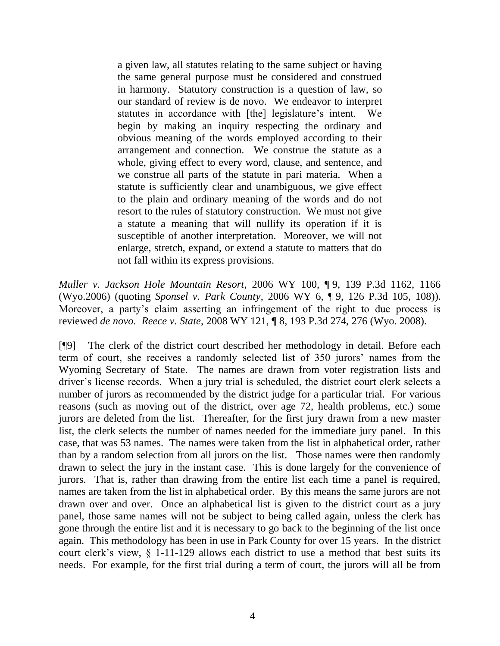a given law, all statutes relating to the same subject or having the same general purpose must be considered and construed in harmony. Statutory construction is a question of law, so our standard of review is de novo. We endeavor to interpret statutes in accordance with [the] legislature's intent. We begin by making an inquiry respecting the ordinary and obvious meaning of the words employed according to their arrangement and connection. We construe the statute as a whole, giving effect to every word, clause, and sentence, and we construe all parts of the statute in pari materia. When a statute is sufficiently clear and unambiguous, we give effect to the plain and ordinary meaning of the words and do not resort to the rules of statutory construction. We must not give a statute a meaning that will nullify its operation if it is susceptible of another interpretation. Moreover, we will not enlarge, stretch, expand, or extend a statute to matters that do not fall within its express provisions.

*Muller v. Jackson Hole Mountain Resort*, 2006 WY 100, ¶ 9, 139 P.3d 1162, 1166 (Wyo.2006) (quoting *Sponsel v. Park County*, 2006 WY 6, ¶ 9, 126 P.3d 105, 108)). Moreover, a party's claim asserting an infringement of the right to due process is reviewed *de novo*. *Reece v. State*, 2008 WY 121, ¶ 8, 193 P.3d 274, 276 (Wyo. 2008).

[¶9] The clerk of the district court described her methodology in detail. Before each term of court, she receives a randomly selected list of 350 jurors" names from the Wyoming Secretary of State. The names are drawn from voter registration lists and driver"s license records. When a jury trial is scheduled, the district court clerk selects a number of jurors as recommended by the district judge for a particular trial. For various reasons (such as moving out of the district, over age 72, health problems, etc.) some jurors are deleted from the list. Thereafter, for the first jury drawn from a new master list, the clerk selects the number of names needed for the immediate jury panel. In this case, that was 53 names. The names were taken from the list in alphabetical order, rather than by a random selection from all jurors on the list. Those names were then randomly drawn to select the jury in the instant case. This is done largely for the convenience of jurors. That is, rather than drawing from the entire list each time a panel is required, names are taken from the list in alphabetical order. By this means the same jurors are not drawn over and over. Once an alphabetical list is given to the district court as a jury panel, those same names will not be subject to being called again, unless the clerk has gone through the entire list and it is necessary to go back to the beginning of the list once again. This methodology has been in use in Park County for over 15 years. In the district court clerk"s view, § 1-11-129 allows each district to use a method that best suits its needs. For example, for the first trial during a term of court, the jurors will all be from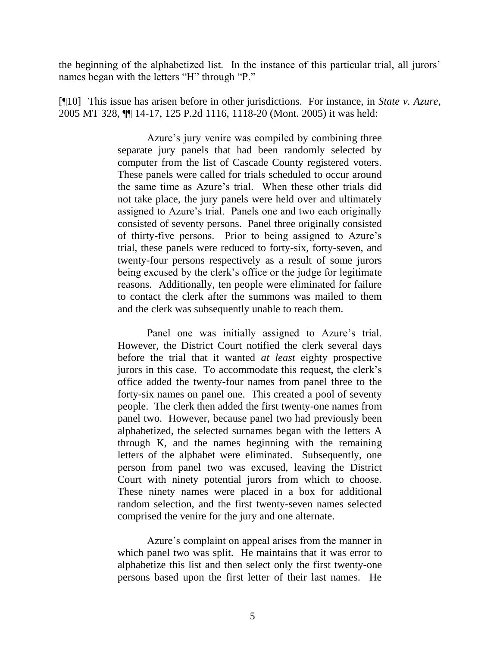the beginning of the alphabetized list. In the instance of this particular trial, all jurors" names began with the letters "H" through "P."

[¶10] This issue has arisen before in other jurisdictions. For instance, in *State v. Azure*, 2005 MT 328, ¶¶ 14-17, 125 P.2d 1116, 1118-20 (Mont. 2005) it was held:

> Azure's jury venire was compiled by combining three separate jury panels that had been randomly selected by computer from the list of Cascade County registered voters. These panels were called for trials scheduled to occur around the same time as Azure"s trial. When these other trials did not take place, the jury panels were held over and ultimately assigned to Azure's trial. Panels one and two each originally consisted of seventy persons. Panel three originally consisted of thirty-five persons. Prior to being assigned to Azure"s trial, these panels were reduced to forty-six, forty-seven, and twenty-four persons respectively as a result of some jurors being excused by the clerk's office or the judge for legitimate reasons. Additionally, ten people were eliminated for failure to contact the clerk after the summons was mailed to them and the clerk was subsequently unable to reach them.

> Panel one was initially assigned to Azure's trial. However, the District Court notified the clerk several days before the trial that it wanted *at least* eighty prospective jurors in this case. To accommodate this request, the clerk"s office added the twenty-four names from panel three to the forty-six names on panel one. This created a pool of seventy people. The clerk then added the first twenty-one names from panel two. However, because panel two had previously been alphabetized, the selected surnames began with the letters A through K, and the names beginning with the remaining letters of the alphabet were eliminated. Subsequently, one person from panel two was excused, leaving the District Court with ninety potential jurors from which to choose. These ninety names were placed in a box for additional random selection, and the first twenty-seven names selected comprised the venire for the jury and one alternate.

> Azure's complaint on appeal arises from the manner in which panel two was split. He maintains that it was error to alphabetize this list and then select only the first twenty-one persons based upon the first letter of their last names. He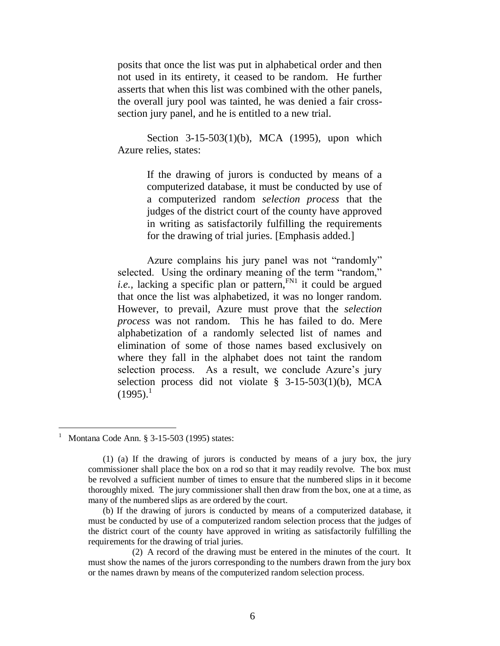posits that once the list was put in alphabetical order and then not used in its entirety, it ceased to be random. He further asserts that when this list was combined with the other panels, the overall jury pool was tainted, he was denied a fair crosssection jury panel, and he is entitled to a new trial.

[Section 3-15-503\(1\)\(b\), MCA \(1995\),](http://www.westlaw.com/Find/Default.wl?rs=dfa1.0&vr=2.0&DB=1002018&DocName=MTST3-15-503&FindType=L) upon which Azure relies, states:

> If the drawing of jurors is conducted by means of a computerized database, it must be conducted by use of a computerized random *selection process* that the judges of the district court of the county have approved in writing as satisfactorily fulfilling the requirements for the drawing of trial juries. [Emphasis added.]

<span id="page-7-0"></span>Azure complains his jury panel was not "randomly" selected. Using the ordinary meaning of the term "random," *i.e.*, lacking a specific plan or pattern, $F<sup>NM</sup>$  it could be argued that once the list was alphabetized, it was no longer random. However, to prevail, Azure must prove that the *selection process* was not random. This he has failed to do. Mere alphabetization of a randomly selected list of names and elimination of some of those names based exclusively on where they fall in the alphabet does not taint the random selection process. As a result, we conclude Azure's jury selection process did not violate [§ 3-15-503\(1\)\(b\), MCA](http://www.westlaw.com/Find/Default.wl?rs=dfa1.0&vr=2.0&DB=1002018&DocName=MTST3-15-503&FindType=L)   $(1995).<sup>1</sup>$  $(1995).<sup>1</sup>$ 

 $\overline{a}$ 

<sup>1</sup> Montana Code Ann. § 3-15-503 (1995) states:

<sup>(1) (</sup>a) If the drawing of jurors is conducted by means of a jury box, the jury commissioner shall place the box on a rod so that it may readily revolve. The box must be revolved a sufficient number of times to ensure that the numbered slips in it become thoroughly mixed. The jury commissioner shall then draw from the box, one at a time, as many of the numbered slips as are ordered by the court.

<sup>(</sup>b) If the drawing of jurors is conducted by means of a computerized database, it must be conducted by use of a computerized random selection process that the judges of the district court of the county have approved in writing as satisfactorily fulfilling the requirements for the drawing of trial juries.

<sup>(2)</sup> A record of the drawing must be entered in the minutes of the court. It must show the names of the jurors corresponding to the numbers drawn from the jury box or the names drawn by means of the computerized random selection process.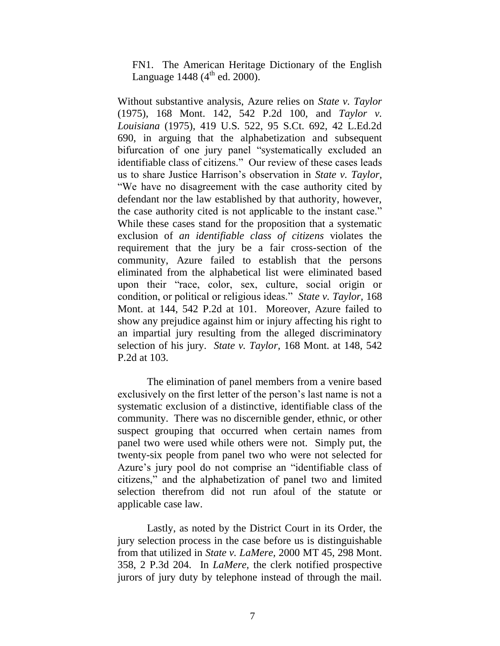<span id="page-8-0"></span>[FN1.](#page-7-0) The American Heritage Dictionary of the English Language 1448 ( $4^{th}$  ed. 2000).

Without substantive analysis, Azure relies on *[State v. Taylor](http://www.westlaw.com/Find/Default.wl?rs=dfa1.0&vr=2.0&DB=661&FindType=Y&SerialNum=1975128842)* (1975), 168 Mont. 142, 542 P.2d 100, and *[Taylor v.](http://www.westlaw.com/Find/Default.wl?rs=dfa1.0&vr=2.0&DB=708&FindType=Y&SerialNum=1975129717)  [Louisiana](http://www.westlaw.com/Find/Default.wl?rs=dfa1.0&vr=2.0&DB=708&FindType=Y&SerialNum=1975129717)* [\(1975\), 419 U.S. 522, 95 S.Ct. 692, 42 L.Ed.2d](http://www.westlaw.com/Find/Default.wl?rs=dfa1.0&vr=2.0&DB=708&FindType=Y&SerialNum=1975129717)  690, in arguing that the alphabetization and subsequent bifurcation of one jury panel "systematically excluded an identifiable class of citizens." Our review of these cases leads us to share Justice Harrison"s observation in *State v. Taylor,*  "We have no disagreement with the case authority cited by defendant nor the law established by that authority, however, the case authority cited is not applicable to the instant case." While these cases stand for the proposition that a systematic exclusion of *an identifiable class of citizens* violates the requirement that the jury be a fair cross-section of the community, Azure failed to establish that the persons eliminated from the alphabetical list were eliminated based upon their "race, color, sex, culture, social origin or condition, or political or religious ideas." *[State v. Taylor,](http://www.westlaw.com/Find/Default.wl?rs=dfa1.0&vr=2.0&DB=661&FindType=Y&ReferencePositionType=S&SerialNum=1975128842&ReferencePosition=101)* [168](http://www.westlaw.com/Find/Default.wl?rs=dfa1.0&vr=2.0&DB=661&FindType=Y&ReferencePositionType=S&SerialNum=1975128842&ReferencePosition=101)  Mont. at 144, 542 P.2d at 101. Moreover, Azure failed to show any prejudice against him or injury affecting his right to an impartial jury resulting from the alleged discriminatory selection of his jury. *[State v. Taylor,](http://www.westlaw.com/Find/Default.wl?rs=dfa1.0&vr=2.0&DB=661&FindType=Y&ReferencePositionType=S&SerialNum=1975128842&ReferencePosition=103)* [168 Mont. at 148, 542](http://www.westlaw.com/Find/Default.wl?rs=dfa1.0&vr=2.0&DB=661&FindType=Y&ReferencePositionType=S&SerialNum=1975128842&ReferencePosition=103)  P.2d at 103.

The elimination of panel members from a venire based exclusively on the first letter of the person's last name is not a systematic exclusion of a distinctive, identifiable class of the community. There was no discernible gender, ethnic, or other suspect grouping that occurred when certain names from panel two were used while others were not. Simply put, the twenty-six people from panel two who were not selected for Azure's jury pool do not comprise an "identifiable class of citizens," and the alphabetization of panel two and limited selection therefrom did not run afoul of the statute or applicable case law.

Lastly, as noted by the District Court in its Order, the jury selection process in the case before us is distinguishable from that utilized in*[State v. LaMere,](http://www.westlaw.com/Find/Default.wl?rs=dfa1.0&vr=2.0&DB=4645&FindType=Y&SerialNum=2000058031)* [2000 MT 45, 298 Mont.](http://www.westlaw.com/Find/Default.wl?rs=dfa1.0&vr=2.0&DB=4645&FindType=Y&SerialNum=2000058031)  358, 2 P.3d 204. In *LaMere,* the clerk notified prospective jurors of jury duty by telephone instead of through the mail.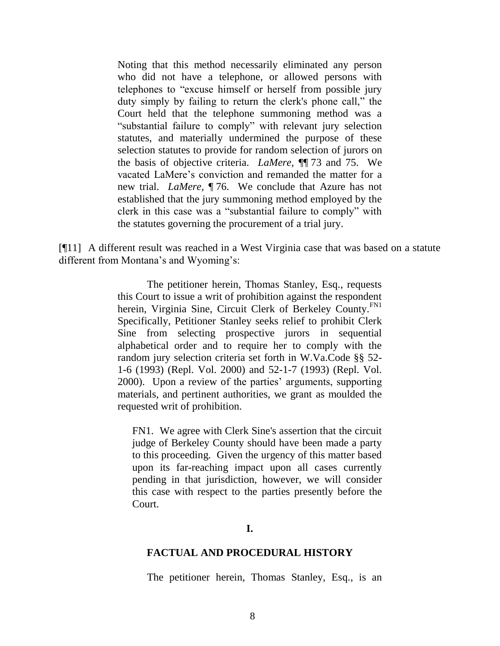Noting that this method necessarily eliminated any person who did not have a telephone, or allowed persons with telephones to "excuse himself or herself from possible jury duty simply by failing to return the clerk's phone call," the Court held that the telephone summoning method was a "substantial failure to comply" with relevant jury selection statutes, and materially undermined the purpose of these selection statutes to provide for random selection of jurors on the basis of objective criteria. *LaMere,* ¶¶ 73 and 75. We vacated LaMere"s conviction and remanded the matter for a new trial. *LaMere,* ¶ 76. We conclude that Azure has not established that the jury summoning method employed by the clerk in this case was a "substantial failure to comply" with the statutes governing the procurement of a trial jury.

[¶11] A different result was reached in a West Virginia case that was based on a statute different from Montana's and Wyoming's:

> <span id="page-9-1"></span>The petitioner herein, Thomas Stanley, Esq., requests this Court to issue a writ of prohibition against the respondent herein, Virginia Sine, Circuit Clerk of Berkeley County.<sup>[FN1](#page-9-0)</sup> Specifically, Petitioner Stanley seeks relief to prohibit Clerk Sine from selecting prospective jurors in sequential alphabetical order and to require her to comply with the random jury selection criteria set forth in [W.Va.Code §§ 52-](http://www.westlaw.com/Find/Default.wl?rs=dfa1.0&vr=2.0&DB=1000041&DocName=WVSTS52-1-6&FindType=L) [1-6 \(1993\) \(Repl. Vol. 2000\) and 52-1-7 \(1993\) \(Repl. Vol.](http://www.westlaw.com/Find/Default.wl?rs=dfa1.0&vr=2.0&DB=1000041&DocName=WVSTS52-1-6&FindType=L)  [2000\).](http://www.westlaw.com/Find/Default.wl?rs=dfa1.0&vr=2.0&DB=1000041&DocName=WVSTS52-1-6&FindType=L) Upon a review of the parties' arguments, supporting materials, and pertinent authorities, we grant as moulded the requested writ of prohibition.

<span id="page-9-0"></span>[FN1.](#page-9-1) We agree with Clerk Sine's assertion that the circuit judge of Berkeley County should have been made a party to this proceeding. Given the urgency of this matter based upon its far-reaching impact upon all cases currently pending in that jurisdiction, however, we will consider this case with respect to the parties presently before the Court.

#### **FACTUAL AND PROCEDURAL HISTORY**

The petitioner herein, Thomas Stanley, Esq., is an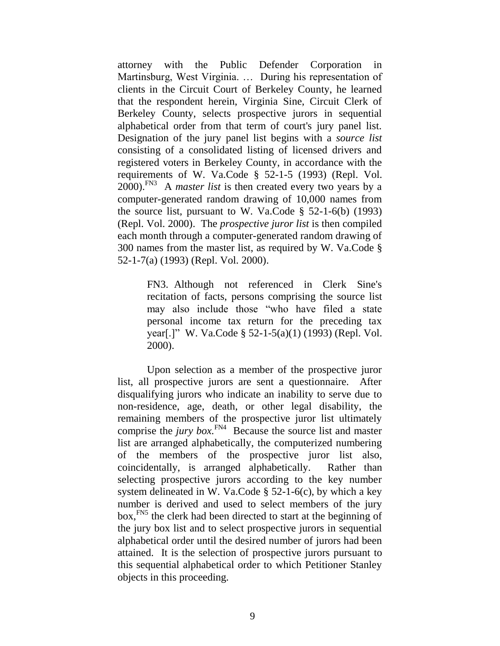attorney with the Public Defender Corporation in Martinsburg, West Virginia. … During his representation of clients in the Circuit Court of Berkeley County, he learned that the respondent herein, Virginia Sine, Circuit Clerk of Berkeley County, selects prospective jurors in sequential alphabetical order from that term of court's jury panel list. Designation of the jury panel list begins with a *source list* consisting of a consolidated listing of licensed drivers and registered voters in Berkeley County, in accordance with the requirements of [W. Va.Code § 52-1-5 \(1993\) \(Repl. Vol.](http://www.westlaw.com/Find/Default.wl?rs=dfa1.0&vr=2.0&DB=1000041&DocName=WVSTS52-1-5&FindType=L)  [2000\).](http://www.westlaw.com/Find/Default.wl?rs=dfa1.0&vr=2.0&DB=1000041&DocName=WVSTS52-1-5&FindType=L)<sup>[FN3](#page-10-0)</sup> A *master list* is then created every two years by a computer-generated random drawing of 10,000 names from the source list, pursuant to W. Va.Code  $\S$  52-1-6(b) (1993) [\(Repl. Vol. 2000\).](http://www.westlaw.com/Find/Default.wl?rs=dfa1.0&vr=2.0&DB=1000041&DocName=WVSTS52-1-6&FindType=L) The *prospective juror list* is then compiled each month through a computer-generated random drawing of 300 names from the master list, as required by [W. Va.Code §](http://www.westlaw.com/Find/Default.wl?rs=dfa1.0&vr=2.0&DB=1000041&DocName=WVSTS52-1-7&FindType=L)  [52-1-7\(a\) \(1993\) \(Repl. Vol. 2000\).](http://www.westlaw.com/Find/Default.wl?rs=dfa1.0&vr=2.0&DB=1000041&DocName=WVSTS52-1-7&FindType=L)

> <span id="page-10-1"></span><span id="page-10-0"></span>[FN3.](#page-10-1) Although not referenced in Clerk Sine's recitation of facts, persons comprising the source list may also include those "who have filed a state personal income tax return for the preceding tax year[.]" [W. Va.Code § 52-1-5\(a\)\(1\) \(1993\) \(Repl. Vol.](http://www.westlaw.com/Find/Default.wl?rs=dfa1.0&vr=2.0&DB=1000041&DocName=WVSTS52-1-5&FindType=L)  [2000\).](http://www.westlaw.com/Find/Default.wl?rs=dfa1.0&vr=2.0&DB=1000041&DocName=WVSTS52-1-5&FindType=L)

<span id="page-10-2"></span>Upon selection as a member of the prospective juror list, all prospective jurors are sent a questionnaire. After disqualifying jurors who indicate an inability to serve due to non-residence, age, death, or other legal disability, the remaining members of the prospective juror list ultimately comprise the *jury box*.<sup> $FN4$ </sup> Because the source list and master list are arranged alphabetically, the computerized numbering of the members of the prospective juror list also, coincidentally, is arranged alphabetically. Rather than selecting prospective jurors according to the key number system delineated in W. Va.Code  $\S$  52-1-6(c), by which a key number is derived and used to select members of the jury box, <sup>FN5</sup> the clerk had been directed to start at the beginning of the jury box list and to select prospective jurors in sequential alphabetical order until the desired number of jurors had been attained. It is the selection of prospective jurors pursuant to this sequential alphabetical order to which Petitioner Stanley objects in this proceeding.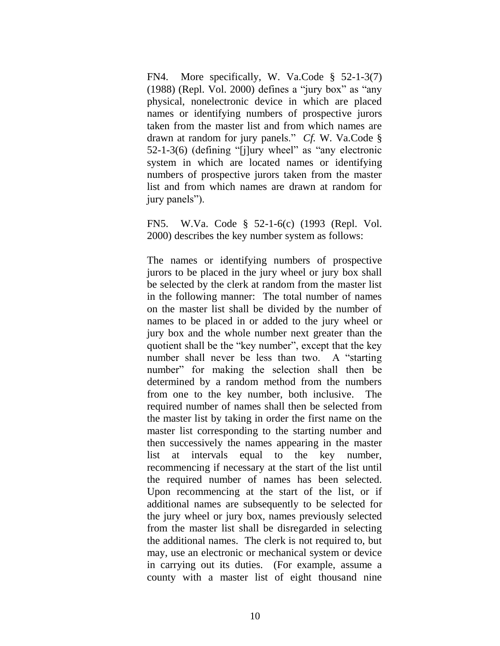<span id="page-11-0"></span>[FN4.](#page-10-2) More specifically, [W. Va.Code § 52-1-3\(7\)](http://www.westlaw.com/Find/Default.wl?rs=dfa1.0&vr=2.0&DB=1000041&DocName=WVSTS52-1-3&FindType=L)  [\(1988\) \(Repl. Vol. 2000\)](http://www.westlaw.com/Find/Default.wl?rs=dfa1.0&vr=2.0&DB=1000041&DocName=WVSTS52-1-3&FindType=L) defines a "jury box" as "any physical, nonelectronic device in which are placed names or identifying numbers of prospective jurors taken from the master list and from which names are drawn at random for jury panels." *Cf.* [W. Va.Code §](http://www.westlaw.com/Find/Default.wl?rs=dfa1.0&vr=2.0&DB=1000041&DocName=WVSTS52-1-3&FindType=L)  [52-1-3\(6\)](http://www.westlaw.com/Find/Default.wl?rs=dfa1.0&vr=2.0&DB=1000041&DocName=WVSTS52-1-3&FindType=L) (defining "[j]ury wheel" as "any electronic system in which are located names or identifying numbers of prospective jurors taken from the master list and from which names are drawn at random for jury panels").

FN5. W.Va. Code § 52-1-6(c) (1993 (Repl. Vol. 2000) describes the key number system as follows:

The names or identifying numbers of prospective jurors to be placed in the jury wheel or jury box shall be selected by the clerk at random from the master list in the following manner: The total number of names on the master list shall be divided by the number of names to be placed in or added to the jury wheel or jury box and the whole number next greater than the quotient shall be the "key number", except that the key number shall never be less than two. A "starting number" for making the selection shall then be determined by a random method from the numbers from one to the key number, both inclusive. The required number of names shall then be selected from the master list by taking in order the first name on the master list corresponding to the starting number and then successively the names appearing in the master list at intervals equal to the key number, recommencing if necessary at the start of the list until the required number of names has been selected. Upon recommencing at the start of the list, or if additional names are subsequently to be selected for the jury wheel or jury box, names previously selected from the master list shall be disregarded in selecting the additional names. The clerk is not required to, but may, use an electronic or mechanical system or device in carrying out its duties. (For example, assume a county with a master list of eight thousand nine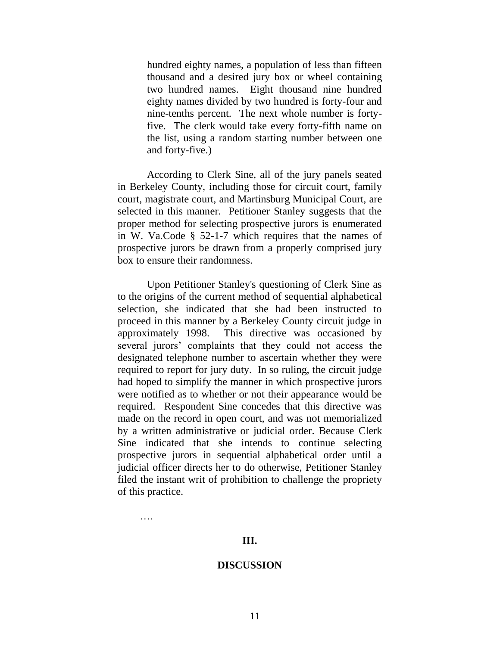hundred eighty names, a population of less than fifteen thousand and a desired jury box or wheel containing two hundred names. Eight thousand nine hundred eighty names divided by two hundred is forty-four and nine-tenths percent. The next whole number is fortyfive. The clerk would take every forty-fifth name on the list, using a random starting number between one and forty-five.)

According to Clerk Sine, all of the jury panels seated in Berkeley County, including those for circuit court, family court, magistrate court, and Martinsburg Municipal Court, are selected in this manner. Petitioner Stanley suggests that the proper method for selecting prospective jurors is enumerated in [W. Va.Code § 52-1-7](http://www.westlaw.com/Find/Default.wl?rs=dfa1.0&vr=2.0&DB=1000041&DocName=WVSTS52-1-7&FindType=L) which requires that the names of prospective jurors be drawn from a properly comprised jury box to ensure their randomness.

Upon Petitioner Stanley's questioning of Clerk Sine as to the origins of the current method of sequential alphabetical selection, she indicated that she had been instructed to proceed in this manner by a Berkeley County circuit judge in approximately 1998. This directive was occasioned by several jurors' complaints that they could not access the designated telephone number to ascertain whether they were required to report for jury duty. In so ruling, the circuit judge had hoped to simplify the manner in which prospective jurors were notified as to whether or not their appearance would be required. Respondent Sine concedes that this directive was made on the record in open court, and was not memorialized by a written administrative or judicial order. Because Clerk Sine indicated that she intends to continue selecting prospective jurors in sequential alphabetical order until a judicial officer directs her to do otherwise, Petitioner Stanley filed the instant writ of prohibition to challenge the propriety of this practice.

….

#### **III.**

#### **DISCUSSION**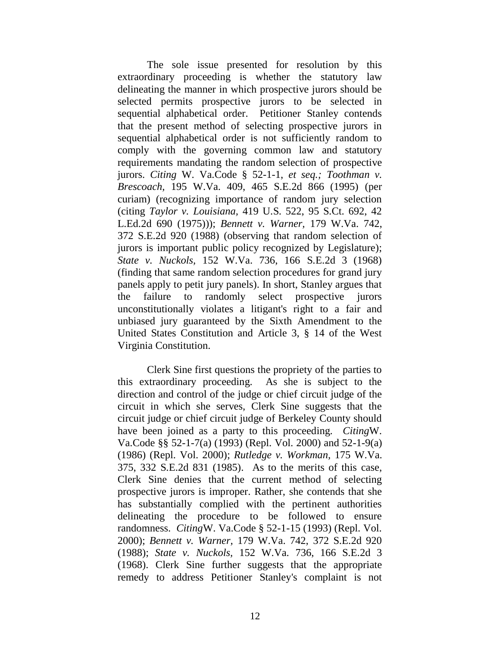The sole issue presented for resolution by this extraordinary proceeding is whether the statutory law delineating the manner in which prospective jurors should be selected permits prospective jurors to be selected in sequential alphabetical order. Petitioner Stanley contends that the present method of selecting prospective jurors in sequential alphabetical order is not sufficiently random to comply with the governing common law and statutory requirements mandating the random selection of prospective jurors. *Citing* [W. Va.Code § 52-1-1,](http://www.westlaw.com/Find/Default.wl?rs=dfa1.0&vr=2.0&DB=1000041&DocName=WVSTS52-1-1&FindType=L) *[et seq.;](http://www.westlaw.com/Find/Default.wl?rs=dfa1.0&vr=2.0&DB=1000041&DocName=WVSTS52-1-1&FindType=L) [Toothman v.](http://www.westlaw.com/Find/Default.wl?rs=dfa1.0&vr=2.0&DB=711&FindType=Y&SerialNum=1995242755)  [Brescoach,](http://www.westlaw.com/Find/Default.wl?rs=dfa1.0&vr=2.0&DB=711&FindType=Y&SerialNum=1995242755)* [195 W.Va. 409, 465 S.E.2d 866 \(1995\)](http://www.westlaw.com/Find/Default.wl?rs=dfa1.0&vr=2.0&DB=711&FindType=Y&SerialNum=1995242755) (per curiam) (recognizing importance of random jury selection (citing *Taylor v. [Louisiana,](http://www.westlaw.com/Find/Default.wl?rs=dfa1.0&vr=2.0&DB=708&FindType=Y&SerialNum=1975129717)* [419 U.S. 522, 95 S.Ct. 692, 42](http://www.westlaw.com/Find/Default.wl?rs=dfa1.0&vr=2.0&DB=708&FindType=Y&SerialNum=1975129717)  L.Ed.2d 690 (1975))); *[Bennett v. Warner,](http://www.westlaw.com/Find/Default.wl?rs=dfa1.0&vr=2.0&DB=711&FindType=Y&SerialNum=1988122629)* [179 W.Va. 742,](http://www.westlaw.com/Find/Default.wl?rs=dfa1.0&vr=2.0&DB=711&FindType=Y&SerialNum=1988122629)  372 S.E.2d 920 (1988) (observing that random selection of jurors is important public policy recognized by Legislature); *[State v. Nuckols,](http://www.westlaw.com/Find/Default.wl?rs=dfa1.0&vr=2.0&DB=711&FindType=Y&SerialNum=1968133178)* [152 W.Va. 736, 166 S.E.2d 3 \(1968\)](http://www.westlaw.com/Find/Default.wl?rs=dfa1.0&vr=2.0&DB=711&FindType=Y&SerialNum=1968133178) (finding that same random selection procedures for grand jury panels apply to petit jury panels). In short, Stanley argues that the failure to randomly select prospective jurors unconstitutionally violates a litigant's right to a fair and unbiased jury guaranteed by the Sixth Amendment to the United States Constitution and Article 3, § 14 of the West Virginia Constitution.

Clerk Sine first questions the propriety of the parties to this extraordinary proceeding. As she is subject to the direction and control of the judge or chief circuit judge of the circuit in which she serves, Clerk Sine suggests that the circuit judge or chief circuit judge of Berkeley County should have been joined as a party to this proceeding. *Citing*[W.](http://www.westlaw.com/Find/Default.wl?rs=dfa1.0&vr=2.0&DB=1000041&DocName=WVSTS52-1-7&FindType=L)  [Va.Code §§ 52-1-7\(a\) \(1993\) \(Repl. Vol. 2000\) and 52-1-9\(a\)](http://www.westlaw.com/Find/Default.wl?rs=dfa1.0&vr=2.0&DB=1000041&DocName=WVSTS52-1-7&FindType=L)  [\(1986\) \(Repl. Vol. 2000\);](http://www.westlaw.com/Find/Default.wl?rs=dfa1.0&vr=2.0&DB=1000041&DocName=WVSTS52-1-7&FindType=L) *[Rutledge v. Workman,](http://www.westlaw.com/Find/Default.wl?rs=dfa1.0&vr=2.0&DB=711&FindType=Y&SerialNum=1985135529)* [175 W.Va.](http://www.westlaw.com/Find/Default.wl?rs=dfa1.0&vr=2.0&DB=711&FindType=Y&SerialNum=1985135529)  375, 332 S.E.2d 831 (1985). As to the merits of this case, Clerk Sine denies that the current method of selecting prospective jurors is improper. Rather, she contends that she has substantially complied with the pertinent authorities delineating the procedure to be followed to ensure randomness. *Citing*[W. Va.Code § 52-1-15 \(1993\) \(Repl. Vol.](http://www.westlaw.com/Find/Default.wl?rs=dfa1.0&vr=2.0&DB=1000041&DocName=WVSTS52-1-15&FindType=L)  [2000\);](http://www.westlaw.com/Find/Default.wl?rs=dfa1.0&vr=2.0&DB=1000041&DocName=WVSTS52-1-15&FindType=L) *[Bennett v. Warner,](http://www.westlaw.com/Find/Default.wl?rs=dfa1.0&vr=2.0&DB=711&FindType=Y&SerialNum=1988122629)* [179 W.Va. 742, 372 S.E.2d 920](http://www.westlaw.com/Find/Default.wl?rs=dfa1.0&vr=2.0&DB=711&FindType=Y&SerialNum=1988122629)  (1988); *[State v. Nuckols,](http://www.westlaw.com/Find/Default.wl?rs=dfa1.0&vr=2.0&DB=711&FindType=Y&SerialNum=1968133178)* [152 W.Va. 736, 166 S.E.2d 3](http://www.westlaw.com/Find/Default.wl?rs=dfa1.0&vr=2.0&DB=711&FindType=Y&SerialNum=1968133178)  (1968). Clerk Sine further suggests that the appropriate remedy to address Petitioner Stanley's complaint is not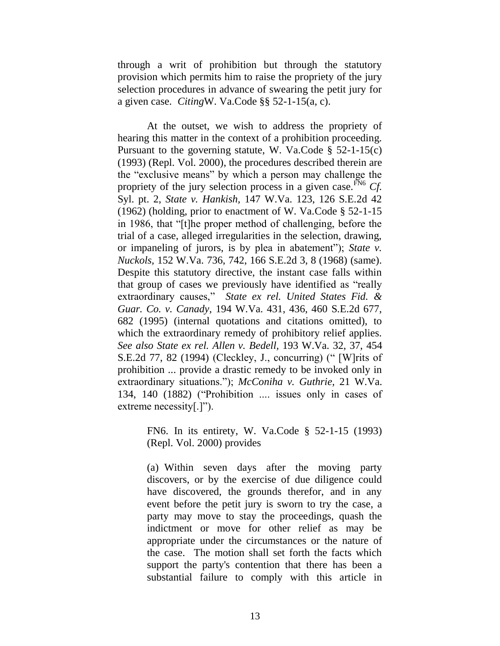through a writ of prohibition but through the statutory provision which permits him to raise the propriety of the jury selection procedures in advance of swearing the petit jury for a given case. *Citing*[W. Va.Code §§ 52-1-15\(a, c\).](http://www.westlaw.com/Find/Default.wl?rs=dfa1.0&vr=2.0&DB=1000041&DocName=WVSTS52-1-15&FindType=L)

<span id="page-14-1"></span>At the outset, we wish to address the propriety of hearing this matter in the context of a prohibition proceeding. Pursuant to the governing statute, [W. Va.Code § 52-1-15\(c\)](http://www.westlaw.com/Find/Default.wl?rs=dfa1.0&vr=2.0&DB=1000041&DocName=WVSTS52-1-15&FindType=L)  [\(1993\) \(Repl. Vol. 2000\),](http://www.westlaw.com/Find/Default.wl?rs=dfa1.0&vr=2.0&DB=1000041&DocName=WVSTS52-1-15&FindType=L) the procedures described therein are the "exclusive means" by which a person may challenge the propriety of the jury selection process in a given case.  $\frac{FN}{N}$  Cf. Syl. pt. 2, *[State v. Hankish,](http://www.westlaw.com/Find/Default.wl?rs=dfa1.0&vr=2.0&DB=711&FindType=Y&SerialNum=1962128574)* [147 W.Va. 123, 126 S.E.2d 42](http://www.westlaw.com/Find/Default.wl?rs=dfa1.0&vr=2.0&DB=711&FindType=Y&SerialNum=1962128574)  (1962) (holding, prior to enactment of [W. Va.Code § 52-1-15](http://www.westlaw.com/Find/Default.wl?rs=dfa1.0&vr=2.0&DB=1000041&DocName=WVSTS52-1-15&FindType=L) in 1986, that "[t]he proper method of challenging, before the trial of a case, alleged irregularities in the selection, drawing, or impaneling of jurors, is by plea in abatement"); *[State v.](http://www.westlaw.com/Find/Default.wl?rs=dfa1.0&vr=2.0&DB=711&FindType=Y&ReferencePositionType=S&SerialNum=1968133178&ReferencePosition=8)  [Nuckols,](http://www.westlaw.com/Find/Default.wl?rs=dfa1.0&vr=2.0&DB=711&FindType=Y&ReferencePositionType=S&SerialNum=1968133178&ReferencePosition=8)* [152 W.Va. 736, 742, 166 S.E.2d 3, 8 \(1968\)](http://www.westlaw.com/Find/Default.wl?rs=dfa1.0&vr=2.0&DB=711&FindType=Y&ReferencePositionType=S&SerialNum=1968133178&ReferencePosition=8) (same). Despite this statutory directive, the instant case falls within that group of cases we previously have identified as "really extraordinary causes," *[State ex rel. United States Fid. &](http://www.westlaw.com/Find/Default.wl?rs=dfa1.0&vr=2.0&DB=711&FindType=Y&ReferencePositionType=S&SerialNum=1995149694&ReferencePosition=682)  [Guar. Co. v. Canady,](http://www.westlaw.com/Find/Default.wl?rs=dfa1.0&vr=2.0&DB=711&FindType=Y&ReferencePositionType=S&SerialNum=1995149694&ReferencePosition=682)* [194 W.Va. 431, 436, 460 S.E.2d 677,](http://www.westlaw.com/Find/Default.wl?rs=dfa1.0&vr=2.0&DB=711&FindType=Y&ReferencePositionType=S&SerialNum=1995149694&ReferencePosition=682)  682 (1995) (internal quotations and citations omitted), to which the extraordinary remedy of prohibitory relief applies. *See also [State ex rel. Allen v. Bedell,](http://www.westlaw.com/Find/Default.wl?rs=dfa1.0&vr=2.0&DB=711&FindType=Y&ReferencePositionType=S&SerialNum=1994243885&ReferencePosition=82)* [193 W.Va. 32, 37, 454](http://www.westlaw.com/Find/Default.wl?rs=dfa1.0&vr=2.0&DB=711&FindType=Y&ReferencePositionType=S&SerialNum=1994243885&ReferencePosition=82)  S.E.2d 77, 82 (1994) (Cleckley, J., concurring) (" [W]rits of prohibition ... provide a drastic remedy to be invoked only in extraordinary situations."); *[McConiha v. Guthrie,](http://www.westlaw.com/Find/Default.wl?rs=dfa1.0&vr=2.0&DB=791&FindType=Y&ReferencePositionType=S&SerialNum=1882014929&ReferencePosition=140)* [21 W.Va.](http://www.westlaw.com/Find/Default.wl?rs=dfa1.0&vr=2.0&DB=791&FindType=Y&ReferencePositionType=S&SerialNum=1882014929&ReferencePosition=140)  134, 140 (1882) ("Prohibition .... issues only in cases of extreme necessity[.]").

> <span id="page-14-0"></span>[FN6.](#page-14-1) In its entirety, [W. Va.Code § 52-1-15 \(1993\)](http://www.westlaw.com/Find/Default.wl?rs=dfa1.0&vr=2.0&DB=1000041&DocName=WVSTS52-1-15&FindType=L)  [\(Repl. Vol. 2000\)](http://www.westlaw.com/Find/Default.wl?rs=dfa1.0&vr=2.0&DB=1000041&DocName=WVSTS52-1-15&FindType=L) provides

> (a) Within seven days after the moving party discovers, or by the exercise of due diligence could have discovered, the grounds therefor, and in any event before the petit jury is sworn to try the case, a party may move to stay the proceedings, quash the indictment or move for other relief as may be appropriate under the circumstances or the nature of the case. The motion shall set forth the facts which support the party's contention that there has been a substantial failure to comply with this article in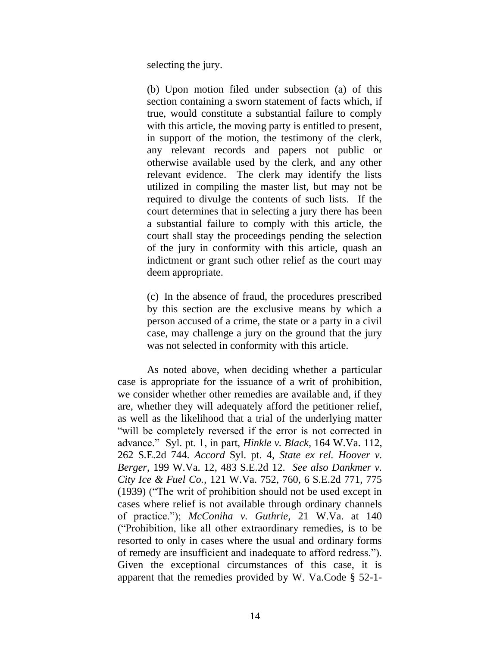selecting the jury.

(b) Upon motion filed under subsection (a) of this section containing a sworn statement of facts which, if true, would constitute a substantial failure to comply with this article, the moving party is entitled to present, in support of the motion, the testimony of the clerk, any relevant records and papers not public or otherwise available used by the clerk, and any other relevant evidence. The clerk may identify the lists utilized in compiling the master list, but may not be required to divulge the contents of such lists. If the court determines that in selecting a jury there has been a substantial failure to comply with this article, the court shall stay the proceedings pending the selection of the jury in conformity with this article, quash an indictment or grant such other relief as the court may deem appropriate.

(c) In the absence of fraud, the procedures prescribed by this section are the exclusive means by which a person accused of a crime, the state or a party in a civil case, may challenge a jury on the ground that the jury was not selected in conformity with this article.

As noted above, when deciding whether a particular case is appropriate for the issuance of a writ of prohibition, we consider whether other remedies are available and, if they are, whether they will adequately afford the petitioner relief, as well as the likelihood that a trial of the underlying matter "will be completely reversed if the error is not corrected in advance." Syl. pt. 1, in part,*[Hinkle v. Black,](http://www.westlaw.com/Find/Default.wl?rs=dfa1.0&vr=2.0&DB=711&FindType=Y&SerialNum=1980193590)* [164 W.Va. 112,](http://www.westlaw.com/Find/Default.wl?rs=dfa1.0&vr=2.0&DB=711&FindType=Y&SerialNum=1980193590)  262 S.E.2d 744. *Accord* Syl. pt. 4, *[State ex rel. Hoover v.](http://www.westlaw.com/Find/Default.wl?rs=dfa1.0&vr=2.0&DB=711&FindType=Y&SerialNum=1996256262)  [Berger,](http://www.westlaw.com/Find/Default.wl?rs=dfa1.0&vr=2.0&DB=711&FindType=Y&SerialNum=1996256262)* [199 W.Va. 12, 483 S.E.2d](http://www.westlaw.com/Find/Default.wl?rs=dfa1.0&vr=2.0&DB=711&FindType=Y&SerialNum=1996256262) 12. *See also [Dankmer v.](http://www.westlaw.com/Find/Default.wl?rs=dfa1.0&vr=2.0&DB=711&FindType=Y&ReferencePositionType=S&SerialNum=1940105268&ReferencePosition=775)  [City Ice & Fuel Co.,](http://www.westlaw.com/Find/Default.wl?rs=dfa1.0&vr=2.0&DB=711&FindType=Y&ReferencePositionType=S&SerialNum=1940105268&ReferencePosition=775)* [121 W.Va. 752, 760, 6 S.E.2d 771, 775](http://www.westlaw.com/Find/Default.wl?rs=dfa1.0&vr=2.0&DB=711&FindType=Y&ReferencePositionType=S&SerialNum=1940105268&ReferencePosition=775)  (1939) ("The writ of prohibition should not be used except in cases where relief is not available through ordinary channels of practice."); *[McConiha v. Guthrie,](http://www.westlaw.com/Find/Default.wl?rs=dfa1.0&vr=2.0&DB=791&FindType=Y&ReferencePositionType=S&SerialNum=1882014929&ReferencePosition=140)* [21 W.Va. at 140](http://www.westlaw.com/Find/Default.wl?rs=dfa1.0&vr=2.0&DB=791&FindType=Y&ReferencePositionType=S&SerialNum=1882014929&ReferencePosition=140) ("Prohibition, like all other extraordinary remedies, is to be resorted to only in cases where the usual and ordinary forms of remedy are insufficient and inadequate to afford redress."). Given the exceptional circumstances of this case, it is apparent that the remedies provided by [W. Va.Code § 52-1-](http://www.westlaw.com/Find/Default.wl?rs=dfa1.0&vr=2.0&DB=1000041&DocName=WVSTS52-1-15&FindType=L)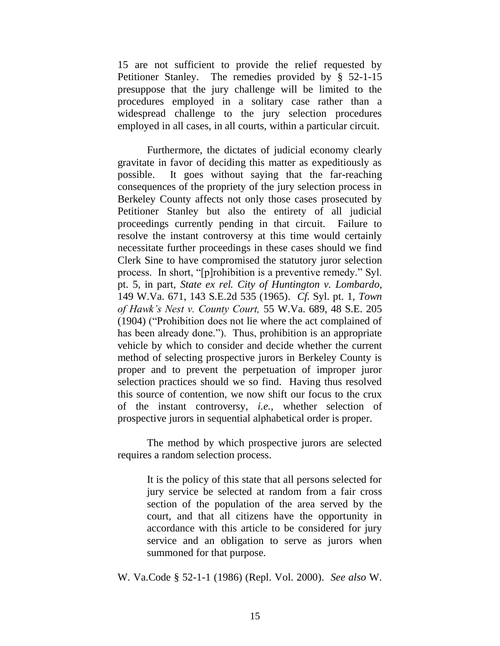15 are not sufficient to provide the relief requested by Petitioner Stanley. The remedies provided by [§ 52-1-15](http://www.westlaw.com/Find/Default.wl?rs=dfa1.0&vr=2.0&DB=1000041&DocName=WVSTS52-1-15&FindType=L) presuppose that the jury challenge will be limited to the procedures employed in a solitary case rather than a widespread challenge to the jury selection procedures employed in all cases, in all courts, within a particular circuit.

Furthermore, the dictates of judicial economy clearly gravitate in favor of deciding this matter as expeditiously as possible. It goes without saying that the far-reaching consequences of the propriety of the jury selection process in Berkeley County affects not only those cases prosecuted by Petitioner Stanley but also the entirety of all judicial proceedings currently pending in that circuit. Failure to resolve the instant controversy at this time would certainly necessitate further proceedings in these cases should we find Clerk Sine to have compromised the statutory juror selection process. In short, "[p]rohibition is a preventive remedy." Syl. pt. 5, in part, *[State ex rel. City of Huntington v. Lombardo,](http://www.westlaw.com/Find/Default.wl?rs=dfa1.0&vr=2.0&DB=711&FindType=Y&SerialNum=1965126148)* 149 W.Va. 671, 143 S.E.2d 535 (1965). *Cf.* Syl. pt. 1, *[Town](http://www.westlaw.com/Find/Default.wl?rs=dfa1.0&vr=2.0&DB=710&FindType=Y&SerialNum=1904011881)  [of Hawk's Nest v. County Court,](http://www.westlaw.com/Find/Default.wl?rs=dfa1.0&vr=2.0&DB=710&FindType=Y&SerialNum=1904011881)* [55 W.Va. 689, 48 S.E. 205](http://www.westlaw.com/Find/Default.wl?rs=dfa1.0&vr=2.0&DB=710&FindType=Y&SerialNum=1904011881)  (1904) ("Prohibition does not lie where the act complained of has been already done."). Thus, prohibition is an appropriate vehicle by which to consider and decide whether the current method of selecting prospective jurors in Berkeley County is proper and to prevent the perpetuation of improper juror selection practices should we so find. Having thus resolved this source of contention, we now shift our focus to the crux of the instant controversy, *i.e.*, whether selection of prospective jurors in sequential alphabetical order is proper.

The method by which prospective jurors are selected requires a random selection process.

> It is the policy of this state that all persons selected for jury service be selected at random from a fair cross section of the population of the area served by the court, and that all citizens have the opportunity in accordance with this article to be considered for jury service and an obligation to serve as jurors when summoned for that purpose.

[W. Va.Code § 52-1-1 \(1986\) \(Repl. Vol. 2000\).](http://www.westlaw.com/Find/Default.wl?rs=dfa1.0&vr=2.0&DB=1000041&DocName=WVSTS52-1-1&FindType=L) *See also* [W.](http://www.westlaw.com/Find/Default.wl?rs=dfa1.0&vr=2.0&DB=1000041&DocName=WVSTS52-1-7&FindType=L)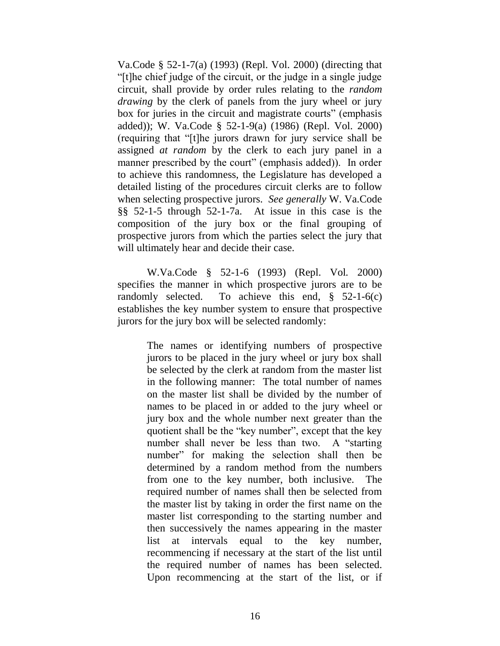Va.Code § 52-1-7(a) (1993) (Repl. Vol. 2000) (directing that "[t]he chief judge of the circuit, or the judge in a single judge circuit, shall provide by order rules relating to the *random drawing* by the clerk of panels from the jury wheel or jury box for juries in the circuit and magistrate courts" (emphasis added)); [W. Va.Code § 52-1-9\(a\) \(1986\) \(Repl. Vol. 2000\)](http://www.westlaw.com/Find/Default.wl?rs=dfa1.0&vr=2.0&DB=1000041&DocName=WVSTS52-1-9&FindType=L) (requiring that "[t]he jurors drawn for jury service shall be assigned *at random* by the clerk to each jury panel in a manner prescribed by the court" (emphasis added)). In order to achieve this randomness, the Legislature has developed a detailed listing of the procedures circuit clerks are to follow when selecting prospective jurors. *See generally* [W. Va.Code](http://www.westlaw.com/Find/Default.wl?rs=dfa1.0&vr=2.0&DB=1000041&DocName=WVSTS52-1-5&FindType=L)  [§§ 52-1-5](http://www.westlaw.com/Find/Default.wl?rs=dfa1.0&vr=2.0&DB=1000041&DocName=WVSTS52-1-5&FindType=L) through [52-1-7a.](http://www.westlaw.com/Find/Default.wl?rs=dfa1.0&vr=2.0&DB=1000041&DocName=WVSTS52-1-7A&FindType=L) At issue in this case is the composition of the jury box or the final grouping of prospective jurors from which the parties select the jury that will ultimately hear and decide their case.

[W.Va.Code § 52-1-6 \(1993\) \(Repl. Vol. 2000\)](http://www.westlaw.com/Find/Default.wl?rs=dfa1.0&vr=2.0&DB=1000041&DocName=WVSTS52-1-6&FindType=L) specifies the manner in which prospective jurors are to be randomly selected. To achieve this end, [§ 52-1-6\(c\)](http://www.westlaw.com/Find/Default.wl?rs=dfa1.0&vr=2.0&DB=1000041&DocName=WVSTS52-1-6&FindType=L) establishes the key number system to ensure that prospective jurors for the jury box will be selected randomly:

> The names or identifying numbers of prospective jurors to be placed in the jury wheel or jury box shall be selected by the clerk at random from the master list in the following manner: The total number of names on the master list shall be divided by the number of names to be placed in or added to the jury wheel or jury box and the whole number next greater than the quotient shall be the "key number", except that the key number shall never be less than two. A "starting number" for making the selection shall then be determined by a random method from the numbers from one to the key number, both inclusive. The required number of names shall then be selected from the master list by taking in order the first name on the master list corresponding to the starting number and then successively the names appearing in the master list at intervals equal to the key number, recommencing if necessary at the start of the list until the required number of names has been selected. Upon recommencing at the start of the list, or if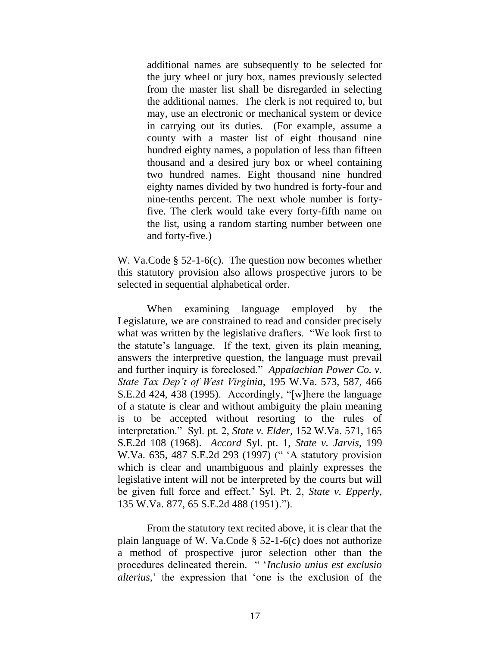additional names are subsequently to be selected for the jury wheel or jury box, names previously selected from the master list shall be disregarded in selecting the additional names. The clerk is not required to, but may, use an electronic or mechanical system or device in carrying out its duties. (For example, assume a county with a master list of eight thousand nine hundred eighty names, a population of less than fifteen thousand and a desired jury box or wheel containing two hundred names. Eight thousand nine hundred eighty names divided by two hundred is forty-four and nine-tenths percent. The next whole number is fortyfive. The clerk would take every forty-fifth name on the list, using a random starting number between one and forty-five.)

[W. Va.Code § 52-1-6\(c\).](http://www.westlaw.com/Find/Default.wl?rs=dfa1.0&vr=2.0&DB=1000041&DocName=WVSTS52-1-6&FindType=L) The question now becomes whether this statutory provision also allows prospective jurors to be selected in sequential alphabetical order.

When examining language employed by the Legislature, we are constrained to read and consider precisely what was written by the legislative drafters. "We look first to the statute"s language. If the text, given its plain meaning, answers the interpretive question, the language must prevail and further inquiry is foreclosed." *[Appalachian Power Co. v.](http://www.westlaw.com/Find/Default.wl?rs=dfa1.0&vr=2.0&DB=711&FindType=Y&ReferencePositionType=S&SerialNum=1995242762&ReferencePosition=438)  [State Tax Dep't of West Virginia,](http://www.westlaw.com/Find/Default.wl?rs=dfa1.0&vr=2.0&DB=711&FindType=Y&ReferencePositionType=S&SerialNum=1995242762&ReferencePosition=438)* [195 W.Va. 573, 587, 466](http://www.westlaw.com/Find/Default.wl?rs=dfa1.0&vr=2.0&DB=711&FindType=Y&ReferencePositionType=S&SerialNum=1995242762&ReferencePosition=438)  S.E.2d 424, 438 (1995). Accordingly, "[w]here the language of a statute is clear and without ambiguity the plain meaning is to be accepted without resorting to the rules of interpretation." Syl. pt. 2, *[State v. Elder,](http://www.westlaw.com/Find/Default.wl?rs=dfa1.0&vr=2.0&DB=711&FindType=Y&SerialNum=1968133086)* [152 W.Va. 571, 165](http://www.westlaw.com/Find/Default.wl?rs=dfa1.0&vr=2.0&DB=711&FindType=Y&SerialNum=1968133086)  S.E.2d 108 (1968). *Accord* Syl. pt. 1, *[State v. Jarvis,](http://www.westlaw.com/Find/Default.wl?rs=dfa1.0&vr=2.0&DB=711&FindType=Y&SerialNum=1997120419)* [199](http://www.westlaw.com/Find/Default.wl?rs=dfa1.0&vr=2.0&DB=711&FindType=Y&SerialNum=1997120419)  W.Va. 635, 487 S.E.2d 293 (1997) (" "A statutory provision which is clear and unambiguous and plainly expresses the legislative intent will not be interpreted by the courts but will be given full force and effect." Syl. Pt. 2, *[State v. Epperly,](http://www.westlaw.com/Find/Default.wl?rs=dfa1.0&vr=2.0&DB=711&FindType=Y&SerialNum=1951104411)* 135 W.Va. 877, 65 S.E.2d 488 (1951).").

From the statutory text recited above, it is clear that the plain language of [W. Va.Code § 52-1-6\(c\)](http://www.westlaw.com/Find/Default.wl?rs=dfa1.0&vr=2.0&DB=1000041&DocName=WVSTS52-1-6&FindType=L) does not authorize a method of prospective juror selection other than the procedures delineated therein. " "*Inclusio unius est exclusio alterius,*" the expression that "one is the exclusion of the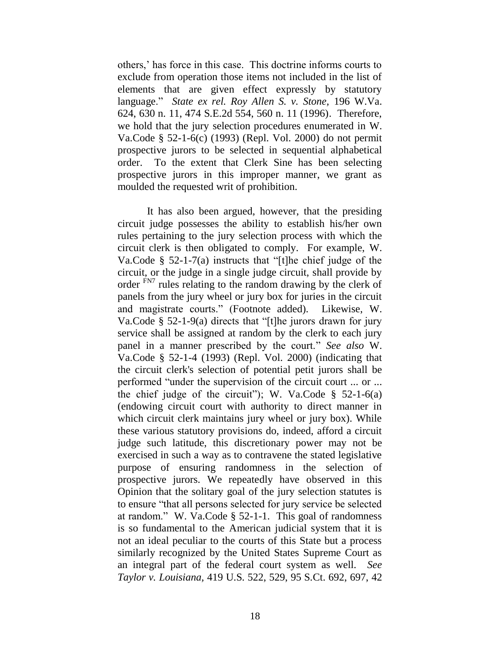others," has force in this case. This doctrine informs courts to exclude from operation those items not included in the list of elements that are given effect expressly by statutory language." *[State ex rel. Roy Allen S. v. Stone,](http://www.westlaw.com/Find/Default.wl?rs=dfa1.0&vr=2.0&DB=711&FindType=Y&ReferencePositionType=S&SerialNum=1996137163&ReferencePosition=560)* [196 W.Va.](http://www.westlaw.com/Find/Default.wl?rs=dfa1.0&vr=2.0&DB=711&FindType=Y&ReferencePositionType=S&SerialNum=1996137163&ReferencePosition=560)  624, 630 n. 11, 474 S.E.2d 554, 560 n. 11 (1996). Therefore, we hold that the jury selection procedures enumerated in [W.](http://www.westlaw.com/Find/Default.wl?rs=dfa1.0&vr=2.0&DB=1000041&DocName=WVSTS52-1-6&FindType=L)  [Va.Code § 52-1-6\(c\) \(1993\) \(Repl. Vol. 2000\)](http://www.westlaw.com/Find/Default.wl?rs=dfa1.0&vr=2.0&DB=1000041&DocName=WVSTS52-1-6&FindType=L) do not permit prospective jurors to be selected in sequential alphabetical order. To the extent that Clerk Sine has been selecting prospective jurors in this improper manner, we grant as moulded the requested writ of prohibition.

<span id="page-19-0"></span>It has also been argued, however, that the presiding circuit judge possesses the ability to establish his/her own rules pertaining to the jury selection process with which the circuit clerk is then obligated to comply. For example, [W.](http://www.westlaw.com/Find/Default.wl?rs=dfa1.0&vr=2.0&DB=1000041&DocName=WVSTS52-1-7&FindType=L)  [Va.Code § 52-1-7\(a\)](http://www.westlaw.com/Find/Default.wl?rs=dfa1.0&vr=2.0&DB=1000041&DocName=WVSTS52-1-7&FindType=L) instructs that "[t]he chief judge of the circuit, or the judge in a single judge circuit, shall provide by order [FN7](#page-20-0) rules relating to the random drawing by the clerk of panels from the jury wheel or jury box for juries in the circuit and magistrate courts." (Footnote added). Likewise, [W.](http://www.westlaw.com/Find/Default.wl?rs=dfa1.0&vr=2.0&DB=1000041&DocName=WVSTS52-1-9&FindType=L)  [Va.Code § 52-1-9\(a\)](http://www.westlaw.com/Find/Default.wl?rs=dfa1.0&vr=2.0&DB=1000041&DocName=WVSTS52-1-9&FindType=L) directs that "[t]he jurors drawn for jury service shall be assigned at random by the clerk to each jury panel in a manner prescribed by the court." *See also* [W.](http://www.westlaw.com/Find/Default.wl?rs=dfa1.0&vr=2.0&DB=1000041&DocName=WVSTS52-1-4&FindType=L)  [Va.Code § 52-1-4 \(1993\) \(Repl. Vol. 2000\)](http://www.westlaw.com/Find/Default.wl?rs=dfa1.0&vr=2.0&DB=1000041&DocName=WVSTS52-1-4&FindType=L) (indicating that the circuit clerk's selection of potential petit jurors shall be performed "under the supervision of the circuit court ... or ... the chief judge of the circuit"); W. Va.Code  $\S$  52-1-6(a) (endowing circuit court with authority to direct manner in which circuit clerk maintains jury wheel or jury box). While these various statutory provisions do, indeed, afford a circuit judge such latitude, this discretionary power may not be exercised in such a way as to contravene the stated legislative purpose of ensuring randomness in the selection of prospective jurors. We repeatedly have observed in this Opinion that the solitary goal of the jury selection statutes is to ensure "that all persons selected for jury service be selected at random." [W. Va.Code § 52-1-1.](http://www.westlaw.com/Find/Default.wl?rs=dfa1.0&vr=2.0&DB=1000041&DocName=WVSTS52-1-1&FindType=L) This goal of randomness is so fundamental to the American judicial system that it is not an ideal peculiar to the courts of this State but a process similarly recognized by the United States Supreme Court as an integral part of the federal court system as well. *See [Taylor v. Louisiana,](http://www.westlaw.com/Find/Default.wl?rs=dfa1.0&vr=2.0&DB=708&FindType=Y&ReferencePositionType=S&SerialNum=1975129717&ReferencePosition=697)* [419 U.S. 522, 529, 95 S.Ct. 692, 697, 42](http://www.westlaw.com/Find/Default.wl?rs=dfa1.0&vr=2.0&DB=708&FindType=Y&ReferencePositionType=S&SerialNum=1975129717&ReferencePosition=697)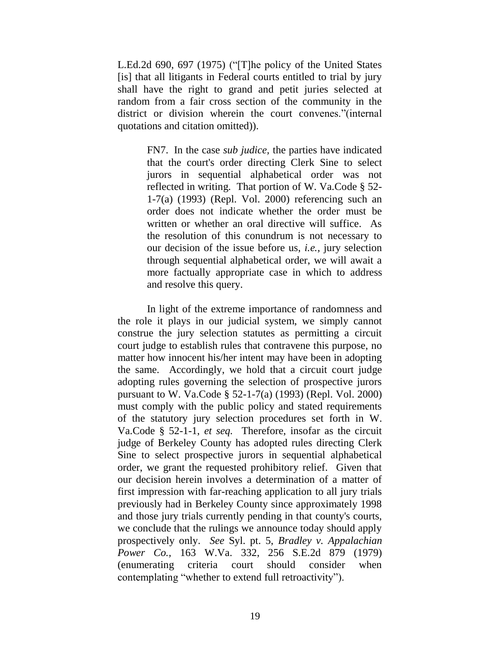L.Ed.2d 690, 697 (1975) ("[T]he policy of the United States [is] that all litigants in Federal courts entitled to trial by jury shall have the right to grand and petit juries selected at random from a fair cross section of the community in the district or division wherein the court convenes."(internal quotations and citation omitted)).

> <span id="page-20-0"></span>[FN7.](#page-19-0) In the case *sub judice,* the parties have indicated that the court's order directing Clerk Sine to select jurors in sequential alphabetical order was not reflected in writing. That portion of [W. Va.Code § 52-](http://www.westlaw.com/Find/Default.wl?rs=dfa1.0&vr=2.0&DB=1000041&DocName=WVSTS52-1-7&FindType=L) [1-7\(a\) \(1993\) \(Repl. Vol. 2000\)](http://www.westlaw.com/Find/Default.wl?rs=dfa1.0&vr=2.0&DB=1000041&DocName=WVSTS52-1-7&FindType=L) referencing such an order does not indicate whether the order must be written or whether an oral directive will suffice. As the resolution of this conundrum is not necessary to our decision of the issue before us, *i.e.,* jury selection through sequential alphabetical order, we will await a more factually appropriate case in which to address and resolve this query.

In light of the extreme importance of randomness and the role it plays in our judicial system, we simply cannot construe the jury selection statutes as permitting a circuit court judge to establish rules that contravene this purpose, no matter how innocent his/her intent may have been in adopting the same. Accordingly, we hold that a circuit court judge adopting rules governing the selection of prospective jurors pursuant to [W. Va.Code § 52-1-7\(a\) \(1993\) \(Repl. Vol. 2000\)](http://www.westlaw.com/Find/Default.wl?rs=dfa1.0&vr=2.0&DB=1000041&DocName=WVSTS52-1-7&FindType=L) must comply with the public policy and stated requirements of the statutory jury selection procedures set forth in [W.](http://www.westlaw.com/Find/Default.wl?rs=dfa1.0&vr=2.0&DB=1000041&DocName=WVSTS52-1-1&FindType=L)  [Va.Code § 52-1-1,](http://www.westlaw.com/Find/Default.wl?rs=dfa1.0&vr=2.0&DB=1000041&DocName=WVSTS52-1-1&FindType=L) *[et seq.](http://www.westlaw.com/Find/Default.wl?rs=dfa1.0&vr=2.0&DB=1000041&DocName=WVSTS52-1-1&FindType=L)* Therefore, insofar as the circuit judge of Berkeley County has adopted rules directing Clerk Sine to select prospective jurors in sequential alphabetical order, we grant the requested prohibitory relief. Given that our decision herein involves a determination of a matter of first impression with far-reaching application to all jury trials previously had in Berkeley County since approximately 1998 and those jury trials currently pending in that county's courts, we conclude that the rulings we announce today should apply prospectively only. *See* Syl. pt. 5, *[Bradley v. Appalachian](http://www.westlaw.com/Find/Default.wl?rs=dfa1.0&vr=2.0&DB=711&FindType=Y&SerialNum=1979127931)  [Power Co.,](http://www.westlaw.com/Find/Default.wl?rs=dfa1.0&vr=2.0&DB=711&FindType=Y&SerialNum=1979127931)* [163 W.Va. 332, 256 S.E.2d 879 \(1979\)](http://www.westlaw.com/Find/Default.wl?rs=dfa1.0&vr=2.0&DB=711&FindType=Y&SerialNum=1979127931) (enumerating criteria court should consider when contemplating "whether to extend full retroactivity").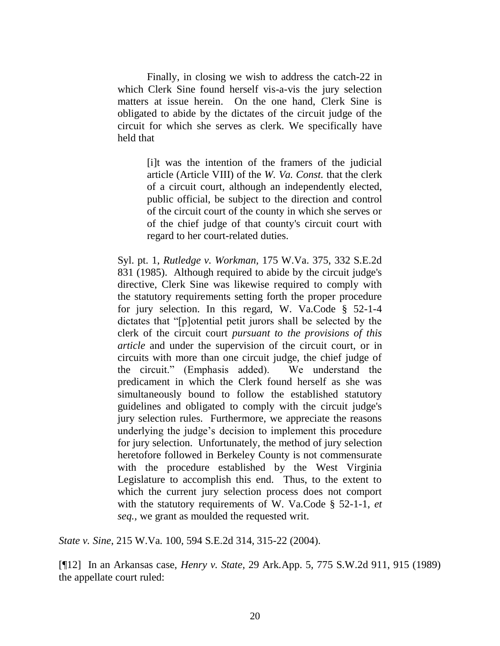Finally, in closing we wish to address the catch-22 in which Clerk Sine found herself vis-a-vis the jury selection matters at issue herein. On the one hand, Clerk Sine is obligated to abide by the dictates of the circuit judge of the circuit for which she serves as clerk. We specifically have held that

> [i]t was the intention of the framers of the judicial article (Article VIII) of the *W. Va. Const.* that the clerk of a circuit court, although an independently elected, public official, be subject to the direction and control of the circuit court of the county in which she serves or of the chief judge of that county's circuit court with regard to her court-related duties.

Syl. pt. 1, *[Rutledge v. Workman,](http://www.westlaw.com/Find/Default.wl?rs=dfa1.0&vr=2.0&DB=711&FindType=Y&SerialNum=1985135529)* [175 W.Va. 375, 332 S.E.2d](http://www.westlaw.com/Find/Default.wl?rs=dfa1.0&vr=2.0&DB=711&FindType=Y&SerialNum=1985135529)  831 (1985). Although required to abide by the circuit judge's directive, Clerk Sine was likewise required to comply with the statutory requirements setting forth the proper procedure for jury selection. In this regard, [W. Va.Code § 52-1-4](http://www.westlaw.com/Find/Default.wl?rs=dfa1.0&vr=2.0&DB=1000041&DocName=WVSTS52-1-4&FindType=L) dictates that "[p]otential petit jurors shall be selected by the clerk of the circuit court *pursuant to the provisions of this article* and under the supervision of the circuit court, or in circuits with more than one circuit judge, the chief judge of the circuit." (Emphasis added). We understand the predicament in which the Clerk found herself as she was simultaneously bound to follow the established statutory guidelines and obligated to comply with the circuit judge's jury selection rules. Furthermore, we appreciate the reasons underlying the judge"s decision to implement this procedure for jury selection. Unfortunately, the method of jury selection heretofore followed in Berkeley County is not commensurate with the procedure established by the West Virginia Legislature to accomplish this end. Thus, to the extent to which the current jury selection process does not comport with the statutory requirements of [W. Va.Code § 52-1-1,](http://www.westlaw.com/Find/Default.wl?rs=dfa1.0&vr=2.0&DB=1000041&DocName=WVSTS52-1-1&FindType=L) *[et](http://www.westlaw.com/Find/Default.wl?rs=dfa1.0&vr=2.0&DB=1000041&DocName=WVSTS52-1-1&FindType=L)  seq.,* we grant as moulded the requested writ.

*State v. Sine*, 215 W.Va. 100, 594 S.E.2d 314, 315-22 (2004).

[¶12] In an Arkansas case, *Henry v. State*, 29 Ark.App. 5, 775 S.W.2d 911, 915 (1989) the appellate court ruled: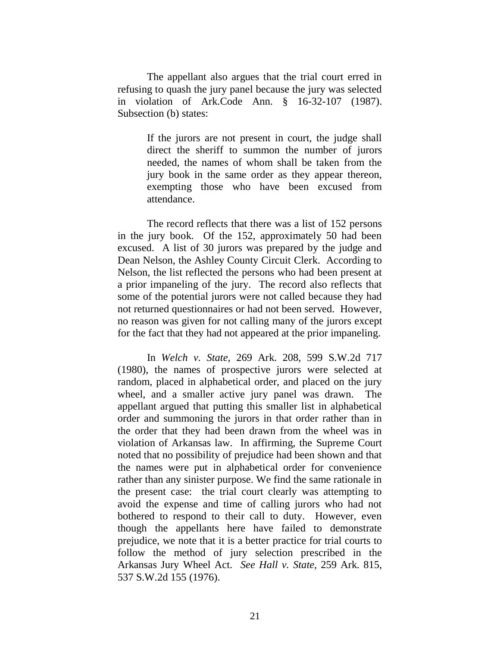The appellant also argues that the trial court erred in refusing to quash the jury panel because the jury was selected in violation of [Ark.Code Ann. § 16-32-107](http://www.westlaw.com/Find/Default.wl?rs=dfa1.0&vr=2.0&DB=1000004&DocName=ARSTS16-32-107&FindType=L) (1987). Subsection (b) states:

> If the jurors are not present in court, the judge shall direct the sheriff to summon the number of jurors needed, the names of whom shall be taken from the jury book in the same order as they appear thereon, exempting those who have been excused from attendance.

The record reflects that there was a list of 152 persons in the jury book. Of the 152, approximately 50 had been excused. A list of 30 jurors was prepared by the judge and Dean Nelson, the Ashley County Circuit Clerk. According to Nelson, the list reflected the persons who had been present at a prior impaneling of the jury. The record also reflects that some of the potential jurors were not called because they had not returned questionnaires or had not been served. However, no reason was given for not calling many of the jurors except for the fact that they had not appeared at the prior impaneling.

In *[Welch v. State,](http://www.westlaw.com/Find/Default.wl?rs=dfa1.0&vr=2.0&DB=713&FindType=Y&SerialNum=1980122071)* [269 Ark. 208, 599 S.W.2d 717](http://www.westlaw.com/Find/Default.wl?rs=dfa1.0&vr=2.0&DB=713&FindType=Y&SerialNum=1980122071)  (1980), the names of prospective jurors were selected at random, placed in alphabetical order, and placed on the jury wheel, and a smaller active jury panel was drawn. The appellant argued that putting this smaller list in alphabetical order and summoning the jurors in that order rather than in the order that they had been drawn from the wheel was in violation of Arkansas law. In affirming, the Supreme Court noted that no possibility of prejudice had been shown and that the names were put in alphabetical order for convenience rather than any sinister purpose. We find the same rationale in the present case: the trial court clearly was attempting to avoid the expense and time of calling jurors who had not bothered to respond to their call to duty. However, even though the appellants here have failed to demonstrate prejudice, we note that it is a better practice for trial courts to follow the method of jury selection prescribed in the Arkansas Jury Wheel Act. *See [Hall v. State,](http://www.westlaw.com/Find/Default.wl?rs=dfa1.0&vr=2.0&DB=713&FindType=Y&SerialNum=1976147046)* [259 Ark. 815,](http://www.westlaw.com/Find/Default.wl?rs=dfa1.0&vr=2.0&DB=713&FindType=Y&SerialNum=1976147046)  537 S.W.2d 155 (1976).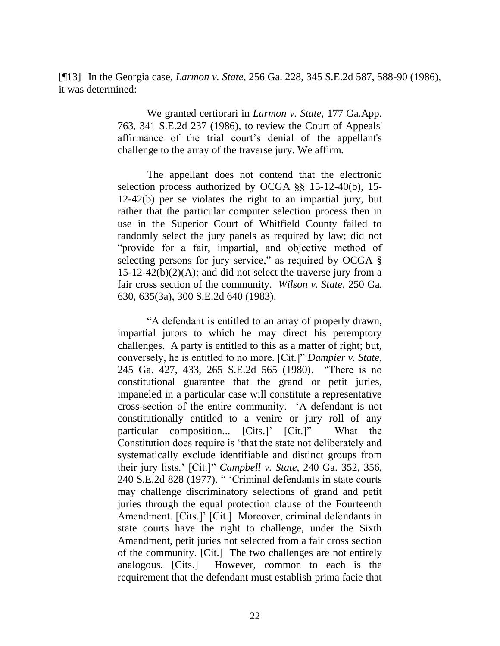[¶13] In the Georgia case, *Larmon v. State*, 256 Ga. 228, 345 S.E.2d 587, 588-90 (1986), it was determined:

> We granted certiorari in *[Larmon v. State,](http://www.westlaw.com/Find/Default.wl?rs=dfa1.0&vr=2.0&DB=711&FindType=Y&SerialNum=1986117454)* [177 Ga.App.](http://www.westlaw.com/Find/Default.wl?rs=dfa1.0&vr=2.0&DB=711&FindType=Y&SerialNum=1986117454)  763, 341 S.E.2d 237 (1986), to review the Court of Appeals' affirmance of the trial court"s denial of the appellant's challenge to the array of the traverse jury. We affirm.

> The appellant does not contend that the electronic selection process authorized by [OCGA §§ 15-12-40\(b\),](http://www.westlaw.com/Find/Default.wl?rs=dfa1.0&vr=2.0&DB=1000468&DocName=GAST15-12-40&FindType=L) [15-](http://www.westlaw.com/Find/Default.wl?rs=dfa1.0&vr=2.0&DB=1000468&DocName=GAST15-12-42&FindType=L) [12-42\(b\)](http://www.westlaw.com/Find/Default.wl?rs=dfa1.0&vr=2.0&DB=1000468&DocName=GAST15-12-42&FindType=L) per se violates the right to an impartial jury, but rather that the particular computer selection process then in use in the Superior Court of Whitfield County failed to randomly select the jury panels as required by law; did not "provide for a fair, impartial, and objective method of selecting persons for jury service," as required by OCGA  $\S$  $15-12-42(b)(2)(A)$ ; and did not select the traverse jury from a fair cross section of the community. *[Wilson v. State,](http://www.westlaw.com/Find/Default.wl?rs=dfa1.0&vr=2.0&DB=359&FindType=Y&ReferencePositionType=S&SerialNum=1983111151&ReferencePosition=635)* [250 Ga.](http://www.westlaw.com/Find/Default.wl?rs=dfa1.0&vr=2.0&DB=359&FindType=Y&ReferencePositionType=S&SerialNum=1983111151&ReferencePosition=635)  630, 635(3a), [300 S.E.2d 640 \(1983\).](http://www.westlaw.com/Find/Default.wl?rs=dfa1.0&vr=2.0&DB=711&FindType=Y&SerialNum=1983111151)

> "A defendant is entitled to an array of properly drawn, impartial jurors to which he may direct his peremptory challenges. A party is entitled to this as a matter of right; but, conversely, he is entitled to no more. [Cit.]" *[Dampier v. State,](http://www.westlaw.com/Find/Default.wl?rs=dfa1.0&vr=2.0&DB=711&FindType=Y&SerialNum=1980115174)* 245 Ga. 427, 433, 265 S.E.2d 565 (1980). "There is no constitutional guarantee that the grand or petit juries, impaneled in a particular case will constitute a representative cross-section of the entire community. "A defendant is not constitutionally entitled to a venire or jury roll of any particular composition... [Cits.]' [Cit.]" What the Constitution does require is "that the state not deliberately and systematically exclude identifiable and distinct groups from their jury lists." [Cit.]" *[Campbell v. State,](http://www.westlaw.com/Find/Default.wl?rs=dfa1.0&vr=2.0&DB=711&FindType=Y&SerialNum=1978196114)* [240 Ga. 352, 356,](http://www.westlaw.com/Find/Default.wl?rs=dfa1.0&vr=2.0&DB=711&FindType=Y&SerialNum=1978196114)  240 S.E.2d 828 (1977). " "Criminal defendants in state courts may challenge discriminatory selections of grand and petit juries through the equal protection clause of the Fourteenth Amendment. [Cits.]' [Cit.] Moreover, criminal defendants in state courts have the right to challenge, under the Sixth Amendment, petit juries not selected from a fair cross section of the community. [Cit.] The two challenges are not entirely analogous. [Cits.] However, common to each is the requirement that the defendant must establish prima facie that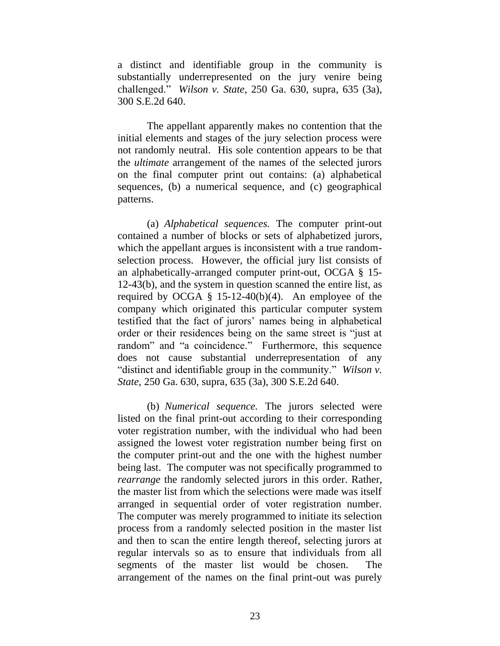a distinct and identifiable group in the community is substantially underrepresented on the jury venire being challenged." *[Wilson v. State,](http://www.westlaw.com/Find/Default.wl?rs=dfa1.0&vr=2.0&DB=359&FindType=Y&SerialNum=1983111151)* [250 Ga. 630, supra,](http://www.westlaw.com/Find/Default.wl?rs=dfa1.0&vr=2.0&DB=359&FindType=Y&SerialNum=1983111151) 635 [\(3a\),](http://www.westlaw.com/Find/Default.wl?rs=dfa1.0&vr=2.0&DB=711&FindType=Y&SerialNum=1983111151)  [300 S.E.2d 640.](http://www.westlaw.com/Find/Default.wl?rs=dfa1.0&vr=2.0&DB=711&FindType=Y&SerialNum=1983111151)

The appellant apparently makes no contention that the initial elements and stages of the jury selection process were not randomly neutral. His sole contention appears to be that the *ultimate* arrangement of the names of the selected jurors on the final computer print out contains: (a) alphabetical sequences, (b) a numerical sequence, and (c) geographical patterns.

(a) *Alphabetical sequences.* The computer print-out contained a number of blocks or sets of alphabetized jurors, which the appellant argues is inconsistent with a true randomselection process. However, the official jury list consists of an alphabetically-arranged computer print-out, [OCGA § 15-](http://www.westlaw.com/Find/Default.wl?rs=dfa1.0&vr=2.0&DB=1000468&DocName=GAST15-12-43&FindType=L) [12-43\(b\),](http://www.westlaw.com/Find/Default.wl?rs=dfa1.0&vr=2.0&DB=1000468&DocName=GAST15-12-43&FindType=L) and the system in question scanned the entire list, as required by OCGA  $\S$  15-12-40(b)(4). An employee of the company which originated this particular computer system testified that the fact of jurors" names being in alphabetical order or their residences being on the same street is "just at random" and "a coincidence." Furthermore, this sequence does not cause substantial underrepresentation of any "distinct and identifiable group in the community." *[Wilson v.](http://www.westlaw.com/Find/Default.wl?rs=dfa1.0&vr=2.0&DB=359&FindType=Y&SerialNum=1983111151)  [State,](http://www.westlaw.com/Find/Default.wl?rs=dfa1.0&vr=2.0&DB=359&FindType=Y&SerialNum=1983111151)* [250 Ga. 630, supra,](http://www.westlaw.com/Find/Default.wl?rs=dfa1.0&vr=2.0&DB=359&FindType=Y&SerialNum=1983111151) 635 [\(3a\), 300 S.E.2d 640.](http://www.westlaw.com/Find/Default.wl?rs=dfa1.0&vr=2.0&DB=711&FindType=Y&SerialNum=1983111151)

(b) *Numerical sequence.* The jurors selected were listed on the final print-out according to their corresponding voter registration number, with the individual who had been assigned the lowest voter registration number being first on the computer print-out and the one with the highest number being last. The computer was not specifically programmed to *rearrange* the randomly selected jurors in this order. Rather, the master list from which the selections were made was itself arranged in sequential order of voter registration number. The computer was merely programmed to initiate its selection process from a randomly selected position in the master list and then to scan the entire length thereof, selecting jurors at regular intervals so as to ensure that individuals from all segments of the master list would be chosen. The arrangement of the names on the final print-out was purely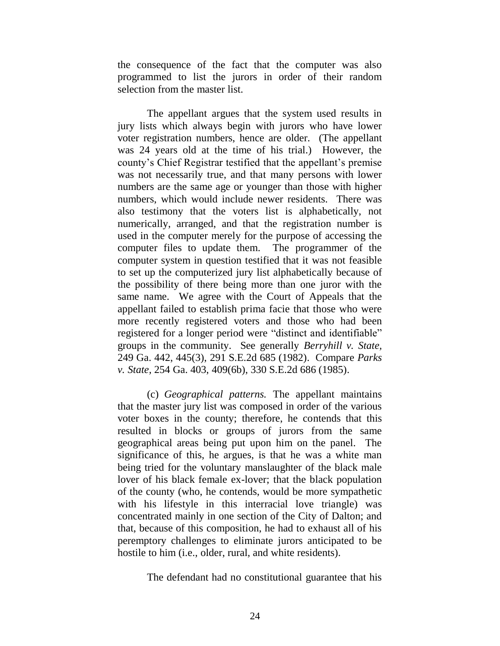the consequence of the fact that the computer was also programmed to list the jurors in order of their random selection from the master list.

The appellant argues that the system used results in jury lists which always begin with jurors who have lower voter registration numbers, hence are older. (The appellant was 24 years old at the time of his trial.) However, the county's Chief Registrar testified that the appellant's premise was not necessarily true, and that many persons with lower numbers are the same age or younger than those with higher numbers, which would include newer residents. There was also testimony that the voters list is alphabetically, not numerically, arranged, and that the registration number is used in the computer merely for the purpose of accessing the computer files to update them. The programmer of the computer system in question testified that it was not feasible to set up the computerized jury list alphabetically because of the possibility of there being more than one juror with the same name. We agree with the Court of Appeals that the appellant failed to establish prima facie that those who were more recently registered voters and those who had been registered for a longer period were "distinct and identifiable" groups in the community. See generally *[Berryhill v. State,](http://www.westlaw.com/Find/Default.wl?rs=dfa1.0&vr=2.0&DB=359&FindType=Y&ReferencePositionType=S&SerialNum=1982123487&ReferencePosition=445)* 249 Ga. 442, 445(3), [291 S.E.2d 685 \(1982\).](http://www.westlaw.com/Find/Default.wl?rs=dfa1.0&vr=2.0&DB=711&FindType=Y&SerialNum=1982123487) Compare *[Parks](http://www.westlaw.com/Find/Default.wl?rs=dfa1.0&vr=2.0&DB=359&FindType=Y&ReferencePositionType=S&SerialNum=1985126893&ReferencePosition=409)  [v. State,](http://www.westlaw.com/Find/Default.wl?rs=dfa1.0&vr=2.0&DB=359&FindType=Y&ReferencePositionType=S&SerialNum=1985126893&ReferencePosition=409)* [254 Ga. 403, 409\(6b\),](http://www.westlaw.com/Find/Default.wl?rs=dfa1.0&vr=2.0&DB=359&FindType=Y&ReferencePositionType=S&SerialNum=1985126893&ReferencePosition=409) [330 S.E.2d 686 \(1985\).](http://www.westlaw.com/Find/Default.wl?rs=dfa1.0&vr=2.0&DB=711&FindType=Y&SerialNum=1985126893)

(c) *Geographical patterns.* The appellant maintains that the master jury list was composed in order of the various voter boxes in the county; therefore, he contends that this resulted in blocks or groups of jurors from the same geographical areas being put upon him on the panel. The significance of this, he argues, is that he was a white man being tried for the voluntary manslaughter of the black male lover of his black female ex-lover; that the black population of the county (who, he contends, would be more sympathetic with his lifestyle in this interracial love triangle) was concentrated mainly in one section of the City of Dalton; and that, because of this composition, he had to exhaust all of his peremptory challenges to eliminate jurors anticipated to be hostile to him (i.e., older, rural, and white residents).

The defendant had no constitutional guarantee that his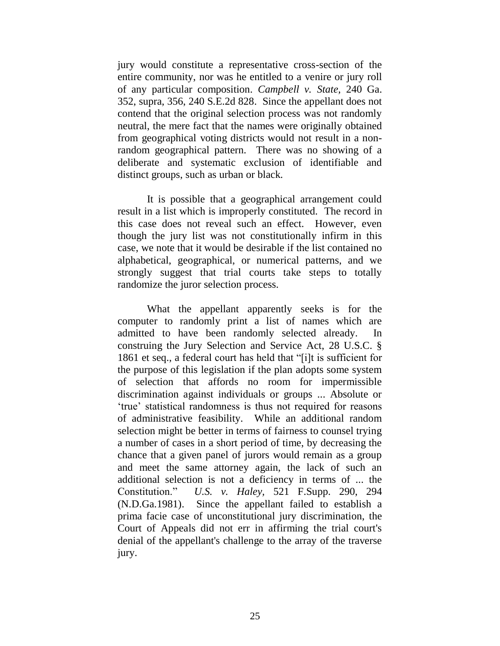jury would constitute a representative cross-section of the entire community, nor was he entitled to a venire or jury roll of any particular composition. *[Campbell v. State,](http://www.westlaw.com/Find/Default.wl?rs=dfa1.0&vr=2.0&DB=359&FindType=Y&SerialNum=1978196114)* [240 Ga.](http://www.westlaw.com/Find/Default.wl?rs=dfa1.0&vr=2.0&DB=359&FindType=Y&SerialNum=1978196114)  352, supra, 356, 240 S.E.2d 828. Since the appellant does not contend that the original selection process was not randomly neutral, the mere fact that the names were originally obtained from geographical voting districts would not result in a nonrandom geographical pattern. There was no showing of a deliberate and systematic exclusion of identifiable and distinct groups, such as urban or black.

It is possible that a geographical arrangement could result in a list which is improperly constituted. The record in this case does not reveal such an effect. However, even though the jury list was not constitutionally infirm in this case, we note that it would be desirable if the list contained no alphabetical, geographical, or numerical patterns, and we strongly suggest that trial courts take steps to totally randomize the juror selection process.

What the appellant apparently seeks is for the computer to randomly print a list of names which are admitted to have been randomly selected already. In construing the Jury Selection and Service Act, [28 U.S.C. §](http://www.westlaw.com/Find/Default.wl?rs=dfa1.0&vr=2.0&DB=1000546&DocName=28USCAS1861&FindType=L)  [1861](http://www.westlaw.com/Find/Default.wl?rs=dfa1.0&vr=2.0&DB=1000546&DocName=28USCAS1861&FindType=L) et seq., a federal court has held that "[i]t is sufficient for the purpose of this legislation if the plan adopts some system of selection that affords no room for impermissible discrimination against individuals or groups ... Absolute or "true" statistical randomness is thus not required for reasons of administrative feasibility. While an additional random selection might be better in terms of fairness to counsel trying a number of cases in a short period of time, by decreasing the chance that a given panel of jurors would remain as a group and meet the same attorney again, the lack of such an additional selection is not a deficiency in terms of ... the Constitution." *[U.S. v. Haley,](http://www.westlaw.com/Find/Default.wl?rs=dfa1.0&vr=2.0&DB=345&FindType=Y&ReferencePositionType=S&SerialNum=1981137383&ReferencePosition=294)* [521 F.Supp. 290, 294](http://www.westlaw.com/Find/Default.wl?rs=dfa1.0&vr=2.0&DB=345&FindType=Y&ReferencePositionType=S&SerialNum=1981137383&ReferencePosition=294)  (N.D.Ga.1981). Since the appellant failed to establish a prima facie case of unconstitutional jury discrimination, the Court of Appeals did not err in affirming the trial court's denial of the appellant's challenge to the array of the traverse jury.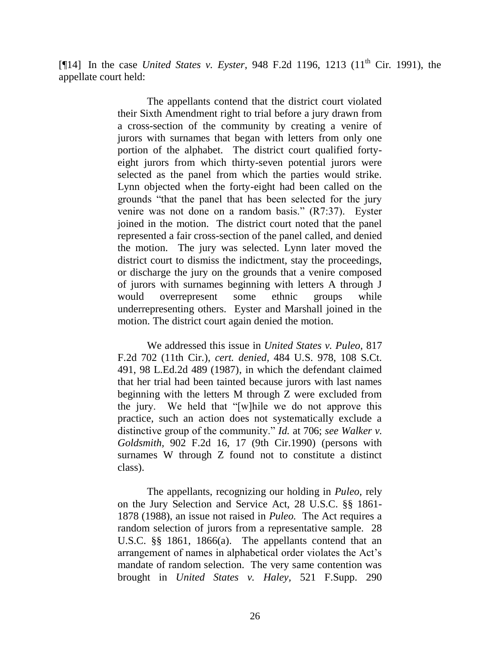[¶14] In the case *United States v. Eyster*, 948 F.2d 1196, 1213 (11<sup>th</sup> Cir. 1991), the appellate court held:

> The appellants contend that the district court violated their Sixth Amendment right to trial before a jury drawn from a cross-section of the community by creating a venire of jurors with surnames that began with letters from only one portion of the alphabet. The district court qualified fortyeight jurors from which thirty-seven potential jurors were selected as the panel from which the parties would strike. Lynn objected when the forty-eight had been called on the grounds "that the panel that has been selected for the jury venire was not done on a random basis." (R7:37). Eyster joined in the motion. The district court noted that the panel represented a fair cross-section of the panel called, and denied the motion. The jury was selected. Lynn later moved the district court to dismiss the indictment, stay the proceedings, or discharge the jury on the grounds that a venire composed of jurors with surnames beginning with letters A through J would overrepresent some ethnic groups while underrepresenting others. Eyster and Marshall joined in the motion. The district court again denied the motion.

> We addressed this issue in *[United States v. Puleo,](http://www.westlaw.com/Find/Default.wl?rs=dfa1.0&vr=2.0&DB=350&FindType=Y&SerialNum=1987058822)* [817](http://www.westlaw.com/Find/Default.wl?rs=dfa1.0&vr=2.0&DB=350&FindType=Y&SerialNum=1987058822)  F.2d 702 (11th Cir.), *cert. denied,* [484 U.S. 978, 108 S.Ct.](http://www.westlaw.com/Find/Default.wl?rs=dfa1.0&vr=2.0&DB=708&FindType=Y&SerialNum=1987157052)  [491, 98 L.Ed.2d 489 \(1987\),](http://www.westlaw.com/Find/Default.wl?rs=dfa1.0&vr=2.0&DB=708&FindType=Y&SerialNum=1987157052) in which the defendant claimed that her trial had been tainted because jurors with last names beginning with the letters M through Z were excluded from the jury. We held that "[w]hile we do not approve this practice, such an action does not systematically exclude a distinctive group of the community." *[Id.](http://www.westlaw.com/Find/Default.wl?rs=dfa1.0&vr=2.0&FindType=Y&SerialNum=1987058822)* [at 706;](http://www.westlaw.com/Find/Default.wl?rs=dfa1.0&vr=2.0&FindType=Y&SerialNum=1987058822) *see [Walker v.](http://www.westlaw.com/Find/Default.wl?rs=dfa1.0&vr=2.0&DB=350&FindType=Y&ReferencePositionType=S&SerialNum=1990072713&ReferencePosition=17)  [Goldsmith,](http://www.westlaw.com/Find/Default.wl?rs=dfa1.0&vr=2.0&DB=350&FindType=Y&ReferencePositionType=S&SerialNum=1990072713&ReferencePosition=17)* [902 F.2d 16, 17 \(9th Cir.1990\)](http://www.westlaw.com/Find/Default.wl?rs=dfa1.0&vr=2.0&DB=350&FindType=Y&ReferencePositionType=S&SerialNum=1990072713&ReferencePosition=17) (persons with surnames W through Z found not to constitute a distinct class).

> The appellants, recognizing our holding in *Puleo,* rely on the Jury Selection and Service Act, [28 U.S.C. §§ 1861-](http://www.westlaw.com/Find/Default.wl?rs=dfa1.0&vr=2.0&DB=1000546&DocName=28USCAS1861&FindType=L) [1878 \(1988\),](http://www.westlaw.com/Find/Default.wl?rs=dfa1.0&vr=2.0&DB=1000546&DocName=28USCAS1878&FindType=L) an issue not raised in *Puleo.* The Act requires a random selection of jurors from a representative sample. [28](http://www.westlaw.com/Find/Default.wl?rs=dfa1.0&vr=2.0&DB=1000546&DocName=28USCAS1861&FindType=L)  [U.S.C. §§ 1861,](http://www.westlaw.com/Find/Default.wl?rs=dfa1.0&vr=2.0&DB=1000546&DocName=28USCAS1861&FindType=L) [1866\(a\).](http://www.westlaw.com/Find/Default.wl?rs=dfa1.0&vr=2.0&DB=1000546&DocName=28USCAS1866&FindType=L&ReferencePositionType=T&ReferencePosition=SP_8b3b0000958a4) The appellants contend that an arrangement of names in alphabetical order violates the Act"s mandate of random selection. The very same contention was brought in *[United States v. Haley,](http://www.westlaw.com/Find/Default.wl?rs=dfa1.0&vr=2.0&DB=345&FindType=Y&SerialNum=1981137383)* [521 F.Supp. 290](http://www.westlaw.com/Find/Default.wl?rs=dfa1.0&vr=2.0&DB=345&FindType=Y&SerialNum=1981137383)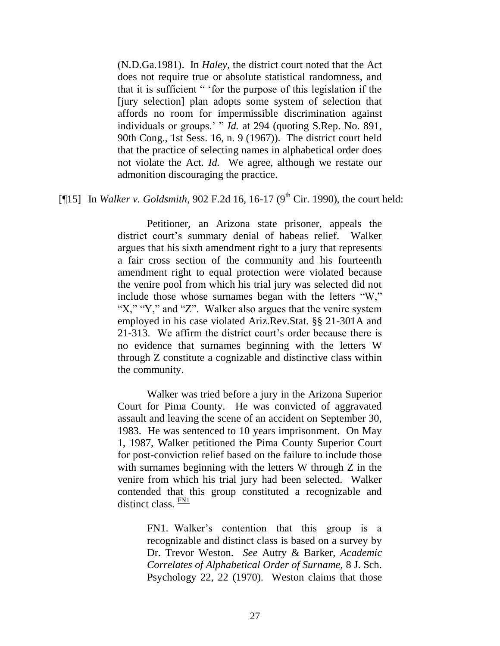(N.D.Ga.1981). In *Haley,* the district court noted that the Act does not require true or absolute statistical randomness, and that it is sufficient " "for the purpose of this legislation if the [jury selection] plan adopts some system of selection that affords no room for impermissible discrimination against individuals or groups." " *Id.* at 294 (quoting S.Rep. No. 891, 90th Cong., 1st Sess. 16, n. 9 (1967)). The district court held that the practice of selecting names in alphabetical order does not violate the Act. *Id.* We agree, although we restate our admonition discouraging the practice.

# [ $[15]$  In *Walker v. Goldsmith*, 902 F.2d 16, 16-17 (9<sup>th</sup> Cir. 1990), the court held:

Petitioner, an Arizona state prisoner, appeals the district court's summary denial of habeas relief. Walker argues that his sixth amendment right to a jury that represents a fair cross section of the community and his fourteenth amendment right to equal protection were violated because the venire pool from which his trial jury was selected did not include those whose surnames began with the letters "W," "X," "Y," and "Z". Walker also argues that the venire system employed in his case violated [Ariz.Rev.Stat. §§ 21-301A](http://www.westlaw.com/Find/Default.wl?rs=dfa1.0&vr=2.0&DB=1000251&DocName=AZSTS21-301&FindType=L) and [21-313.](http://www.westlaw.com/Find/Default.wl?rs=dfa1.0&vr=2.0&DB=1000251&DocName=AZSTS21-313&FindType=L) We affirm the district court's order because there is no evidence that surnames beginning with the letters W through Z constitute a cognizable and distinctive class within the community.

Walker was tried before a jury in the Arizona Superior Court for Pima County. He was convicted of aggravated assault and leaving the scene of an accident on September 30, 1983. He was sentenced to 10 years imprisonment. On May 1, 1987, Walker petitioned the Pima County Superior Court for post-conviction relief based on the failure to include those with surnames beginning with the letters W through Z in the venire from which his trial jury had been selected. Walker contended that this group constituted a recognizable and distinct class.  $\frac{FN1}{FN}$  $\frac{FN1}{FN}$  $\frac{FN1}{FN}$ 

> <span id="page-28-1"></span><span id="page-28-0"></span>[FN1.](#page-28-1) Walker's contention that this group is a recognizable and distinct class is based on a survey by Dr. Trevor Weston. *See* Autry & Barker, *Academic Correlates of Alphabetical Order of Surname,* 8 J. Sch. Psychology 22, 22 (1970). Weston claims that those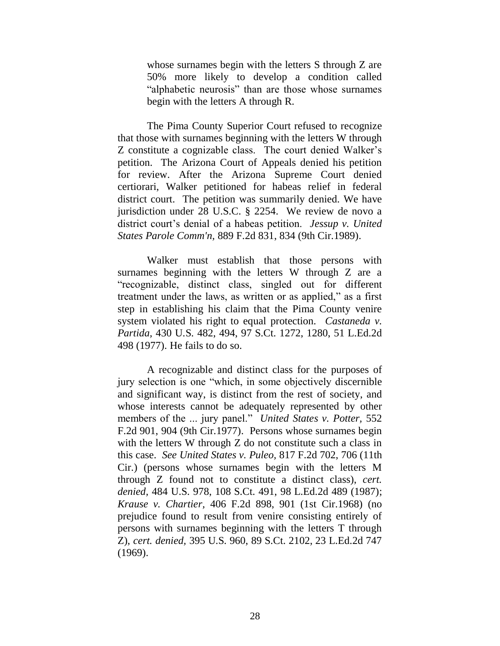whose surnames begin with the letters S through Z are 50% more likely to develop a condition called "alphabetic neurosis" than are those whose surnames begin with the letters A through R.

The Pima County Superior Court refused to recognize that those with surnames beginning with the letters W through Z constitute a cognizable class. The court denied Walker"s petition. The Arizona Court of Appeals denied his petition for review. After the Arizona Supreme Court denied certiorari, Walker petitioned for habeas relief in federal district court. The petition was summarily denied. We have jurisdiction under [28 U.S.C. § 2254.](http://www.westlaw.com/Find/Default.wl?rs=dfa1.0&vr=2.0&DB=1000546&DocName=28USCAS2254&FindType=L) We review de novo a district court's denial of a habeas petition. *Jessup v. United [States Parole Comm'n,](http://www.westlaw.com/Find/Default.wl?rs=dfa1.0&vr=2.0&DB=350&FindType=Y&ReferencePositionType=S&SerialNum=1989161571&ReferencePosition=834)* [889 F.2d 831, 834 \(9th Cir.1989\).](http://www.westlaw.com/Find/Default.wl?rs=dfa1.0&vr=2.0&DB=350&FindType=Y&ReferencePositionType=S&SerialNum=1989161571&ReferencePosition=834)

Walker must establish that those persons with surnames beginning with the letters W through Z are a "recognizable, distinct class, singled out for different treatment under the laws, as written or as applied," as a first step in establishing his claim that the Pima County venire system violated his right to equal protection. *[Castaneda v.](http://www.westlaw.com/Find/Default.wl?rs=dfa1.0&vr=2.0&DB=708&FindType=Y&ReferencePositionType=S&SerialNum=1977118755&ReferencePosition=1280)  [Partida,](http://www.westlaw.com/Find/Default.wl?rs=dfa1.0&vr=2.0&DB=708&FindType=Y&ReferencePositionType=S&SerialNum=1977118755&ReferencePosition=1280)* [430 U.S. 482, 494, 97 S.Ct. 1272, 1280, 51 L.Ed.2d](http://www.westlaw.com/Find/Default.wl?rs=dfa1.0&vr=2.0&DB=708&FindType=Y&ReferencePositionType=S&SerialNum=1977118755&ReferencePosition=1280)  498 (1977). He fails to do so.

A recognizable and distinct class for the purposes of jury selection is one "which, in some objectively discernible and significant way, is distinct from the rest of society, and whose interests cannot be adequately represented by other members of the ... jury panel." *[United States v. Potter,](http://www.westlaw.com/Find/Default.wl?rs=dfa1.0&vr=2.0&DB=350&FindType=Y&ReferencePositionType=S&SerialNum=1977104713&ReferencePosition=904)* [552](http://www.westlaw.com/Find/Default.wl?rs=dfa1.0&vr=2.0&DB=350&FindType=Y&ReferencePositionType=S&SerialNum=1977104713&ReferencePosition=904)  F.2d 901, 904 (9th Cir.1977). Persons whose surnames begin with the letters W through Z do not constitute such a class in this case. *See [United States v. Puleo,](http://www.westlaw.com/Find/Default.wl?rs=dfa1.0&vr=2.0&DB=350&FindType=Y&ReferencePositionType=S&SerialNum=1987058822&ReferencePosition=706)* [817 F.2d 702, 706 \(11th](http://www.westlaw.com/Find/Default.wl?rs=dfa1.0&vr=2.0&DB=350&FindType=Y&ReferencePositionType=S&SerialNum=1987058822&ReferencePosition=706)  Cir.) (persons whose surnames begin with the letters M through Z found not to constitute a distinct class), *cert. denied,* [484 U.S. 978, 108 S.Ct. 491, 98 L.Ed.2d 489 \(1987\);](http://www.westlaw.com/Find/Default.wl?rs=dfa1.0&vr=2.0&DB=708&FindType=Y&SerialNum=1987157052) *[Krause v. Chartier,](http://www.westlaw.com/Find/Default.wl?rs=dfa1.0&vr=2.0&DB=350&FindType=Y&ReferencePositionType=S&SerialNum=1969103739&ReferencePosition=901)* [406 F.2d 898, 901 \(1st Cir.1968\)](http://www.westlaw.com/Find/Default.wl?rs=dfa1.0&vr=2.0&DB=350&FindType=Y&ReferencePositionType=S&SerialNum=1969103739&ReferencePosition=901) (no prejudice found to result from venire consisting entirely of persons with surnames beginning with the letters T through Z), *cert. denied,* [395 U.S. 960, 89 S.Ct. 2102, 23 L.Ed.2d 747](http://www.westlaw.com/Find/Default.wl?rs=dfa1.0&vr=2.0&DB=708&FindType=Y&SerialNum=1969247881)  [\(1969\).](http://www.westlaw.com/Find/Default.wl?rs=dfa1.0&vr=2.0&DB=708&FindType=Y&SerialNum=1969247881)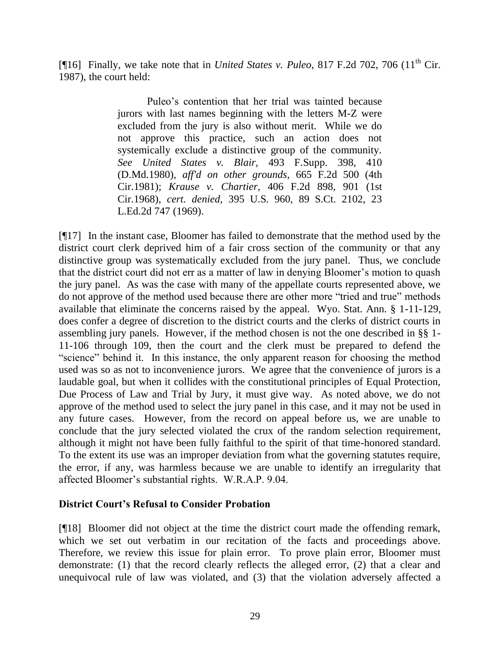[¶16] Finally, we take note that in *United States v. Puleo*, 817 F.2d 702, 706 (11<sup>th</sup> Cir. 1987), the court held:

> Puleo"s contention that her trial was tainted because jurors with last names beginning with the letters M-Z were excluded from the jury is also without merit. While we do not approve this practice, such an action does not systemically exclude a distinctive group of the community. *See [United States v. Blair,](http://www.westlaw.com/Find/Default.wl?rs=dfa1.0&vr=2.0&DB=345&FindType=Y&ReferencePositionType=S&SerialNum=1980124984&ReferencePosition=410)* [493 F.Supp. 398, 410](http://www.westlaw.com/Find/Default.wl?rs=dfa1.0&vr=2.0&DB=345&FindType=Y&ReferencePositionType=S&SerialNum=1980124984&ReferencePosition=410)  (D.Md.1980), *aff'd on other grounds,* [665 F.2d 500 \(4th](http://www.westlaw.com/Find/Default.wl?rs=dfa1.0&vr=2.0&DB=350&FindType=Y&SerialNum=1981150329)  [Cir.1981\);](http://www.westlaw.com/Find/Default.wl?rs=dfa1.0&vr=2.0&DB=350&FindType=Y&SerialNum=1981150329) *[Krause v. Chartier,](http://www.westlaw.com/Find/Default.wl?rs=dfa1.0&vr=2.0&DB=350&FindType=Y&ReferencePositionType=S&SerialNum=1969103739&ReferencePosition=901)* [406 F.2d 898, 901 \(1st](http://www.westlaw.com/Find/Default.wl?rs=dfa1.0&vr=2.0&DB=350&FindType=Y&ReferencePositionType=S&SerialNum=1969103739&ReferencePosition=901)  Cir.1968), *cert. denied,* 395 U.S. 960, [89 S.Ct. 2102, 23](http://www.westlaw.com/Find/Default.wl?rs=dfa1.0&vr=2.0&DB=708&FindType=Y&SerialNum=1969247881)  [L.Ed.2d 747 \(1969\).](http://www.westlaw.com/Find/Default.wl?rs=dfa1.0&vr=2.0&DB=708&FindType=Y&SerialNum=1969247881)

[¶17] In the instant case, Bloomer has failed to demonstrate that the method used by the district court clerk deprived him of a fair cross section of the community or that any distinctive group was systematically excluded from the jury panel. Thus, we conclude that the district court did not err as a matter of law in denying Bloomer"s motion to quash the jury panel. As was the case with many of the appellate courts represented above, we do not approve of the method used because there are other more "tried and true" methods available that eliminate the concerns raised by the appeal. Wyo. Stat. Ann. § 1-11-129, does confer a degree of discretion to the district courts and the clerks of district courts in assembling jury panels. However, if the method chosen is not the one described in §§ 1- 11-106 through 109, then the court and the clerk must be prepared to defend the "science" behind it. In this instance, the only apparent reason for choosing the method used was so as not to inconvenience jurors. We agree that the convenience of jurors is a laudable goal, but when it collides with the constitutional principles of Equal Protection, Due Process of Law and Trial by Jury, it must give way. As noted above, we do not approve of the method used to select the jury panel in this case, and it may not be used in any future cases. However, from the record on appeal before us, we are unable to conclude that the jury selected violated the crux of the random selection requirement, although it might not have been fully faithful to the spirit of that time-honored standard. To the extent its use was an improper deviation from what the governing statutes require, the error, if any, was harmless because we are unable to identify an irregularity that affected Bloomer"s substantial rights. W.R.A.P. 9.04.

## **District Court's Refusal to Consider Probation**

[¶18] Bloomer did not object at the time the district court made the offending remark, which we set out verbatim in our recitation of the facts and proceedings above. Therefore, we review this issue for plain error. To prove plain error, Bloomer must demonstrate: (1) that the record clearly reflects the alleged error, (2) that a clear and unequivocal rule of law was violated, and (3) that the violation adversely affected a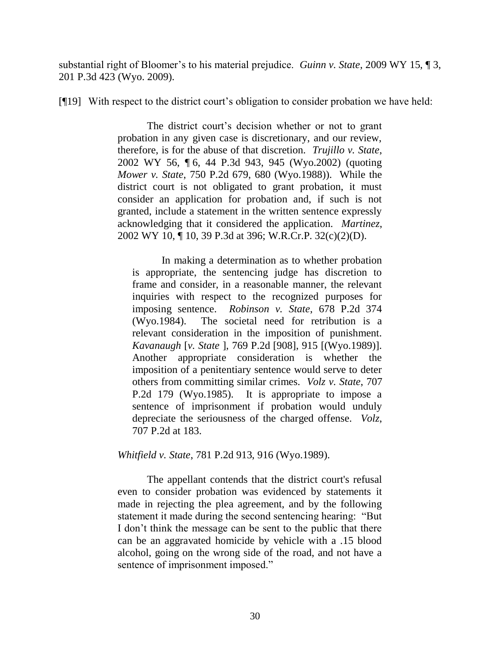substantial right of Bloomer's to his material prejudice. *Guinn v. State*, 2009 WY 15, 13, 201 P.3d 423 (Wyo. 2009).

[¶19] With respect to the district court's obligation to consider probation we have held:

The district court's decision whether or not to grant probation in any given case is discretionary, and our review, therefore, is for the abuse of that discretion. *Trujillo v. State*, 2002 WY 56, ¶ 6, 44 P.3d 943, 945 (Wyo.2002) (quoting *Mower v. State*, 750 P.2d 679, 680 (Wyo.1988)). While the district court is not obligated to grant probation, it must consider an application for probation and, if such is not granted, include a statement in the written sentence expressly acknowledging that it considered the application. *Martinez*, 2002 WY 10, ¶ 10, 39 P.3d at 396; W.R.Cr.P. 32(c)(2)(D).

In making a determination as to whether probation is appropriate, the sentencing judge has discretion to frame and consider, in a reasonable manner, the relevant inquiries with respect to the recognized purposes for imposing sentence. *Robinson v. State*, 678 P.2d 374 (Wyo.1984). The societal need for retribution is a relevant consideration in the imposition of punishment. *Kavanaugh* [*v. State* ], 769 P.2d [908], 915 [(Wyo.1989)]. Another appropriate consideration is whether the imposition of a penitentiary sentence would serve to deter others from committing similar crimes. *Volz v. State*, 707 P.2d 179 (Wyo.1985). It is appropriate to impose a sentence of imprisonment if probation would unduly depreciate the seriousness of the charged offense. *Volz*, 707 P.2d at 183.

*Whitfield v. State*, 781 P.2d 913, 916 (Wyo.1989).

The appellant contends that the district court's refusal even to consider probation was evidenced by statements it made in rejecting the plea agreement, and by the following statement it made during the second sentencing hearing: "But I don"t think the message can be sent to the public that there can be an aggravated homicide by vehicle with a .15 blood alcohol, going on the wrong side of the road, and not have a sentence of imprisonment imposed."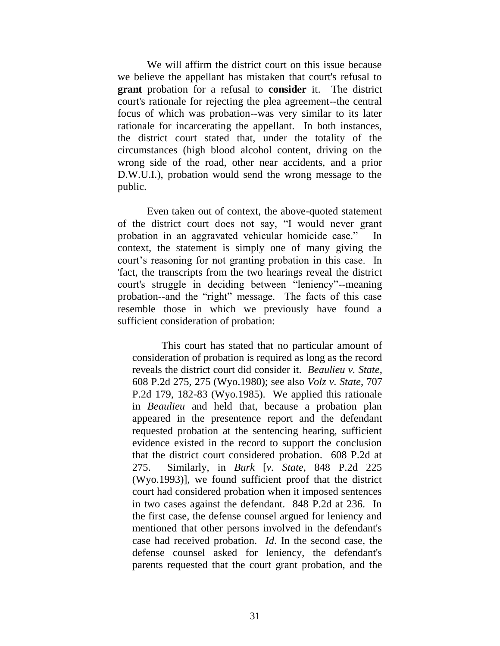We will affirm the district court on this issue because we believe the appellant has mistaken that court's refusal to **grant** probation for a refusal to **consider** it. The district court's rationale for rejecting the plea agreement--the central focus of which was probation--was very similar to its later rationale for incarcerating the appellant. In both instances, the district court stated that, under the totality of the circumstances (high blood alcohol content, driving on the wrong side of the road, other near accidents, and a prior D.W.U.I.), probation would send the wrong message to the public.

Even taken out of context, the above-quoted statement of the district court does not say, "I would never grant probation in an aggravated vehicular homicide case." In context, the statement is simply one of many giving the court's reasoning for not granting probation in this case. In 'fact, the transcripts from the two hearings reveal the district court's struggle in deciding between "leniency"--meaning probation--and the "right" message. The facts of this case resemble those in which we previously have found a sufficient consideration of probation:

This court has stated that no particular amount of consideration of probation is required as long as the record reveals the district court did consider it. *Beaulieu v. State*, 608 P.2d 275, 275 (Wyo.1980); see also *Volz v. State*, 707 P.2d 179, 182-83 (Wyo.1985). We applied this rationale in *Beaulieu* and held that, because a probation plan appeared in the presentence report and the defendant requested probation at the sentencing hearing, sufficient evidence existed in the record to support the conclusion that the district court considered probation. 608 P.2d at 275. Similarly, in *Burk* [*v. State*, 848 P.2d 225 (Wyo.1993)], we found sufficient proof that the district court had considered probation when it imposed sentences in two cases against the defendant. 848 P.2d at 236. In the first case, the defense counsel argued for leniency and mentioned that other persons involved in the defendant's case had received probation. *Id*. In the second case, the defense counsel asked for leniency, the defendant's parents requested that the court grant probation, and the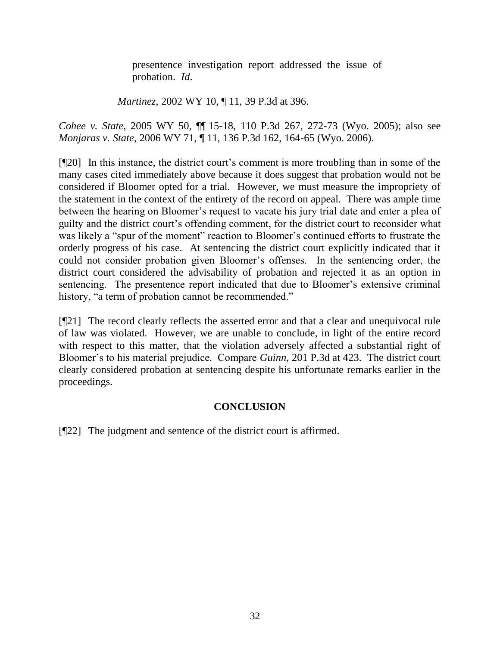presentence investigation report addressed the issue of probation. *Id*.

*Martinez*, 2002 WY 10, ¶ 11, 39 P.3d at 396.

*Cohee v. State*, 2005 WY 50, ¶¶ 15-18, 110 P.3d 267, 272-73 (Wyo. 2005); also see *Monjaras v. State*, 2006 WY 71, ¶ 11, 136 P.3d 162, 164-65 (Wyo. 2006).

[¶20] In this instance, the district court"s comment is more troubling than in some of the many cases cited immediately above because it does suggest that probation would not be considered if Bloomer opted for a trial. However, we must measure the impropriety of the statement in the context of the entirety of the record on appeal. There was ample time between the hearing on Bloomer's request to vacate his jury trial date and enter a plea of guilty and the district court"s offending comment, for the district court to reconsider what was likely a "spur of the moment" reaction to Bloomer's continued efforts to frustrate the orderly progress of his case. At sentencing the district court explicitly indicated that it could not consider probation given Bloomer"s offenses. In the sentencing order, the district court considered the advisability of probation and rejected it as an option in sentencing. The presentence report indicated that due to Bloomer's extensive criminal history, "a term of probation cannot be recommended."

[¶21] The record clearly reflects the asserted error and that a clear and unequivocal rule of law was violated. However, we are unable to conclude, in light of the entire record with respect to this matter, that the violation adversely affected a substantial right of Bloomer"s to his material prejudice. Compare *Guinn*, 201 P.3d at 423. The district court clearly considered probation at sentencing despite his unfortunate remarks earlier in the proceedings.

# **CONCLUSION**

[¶22] The judgment and sentence of the district court is affirmed.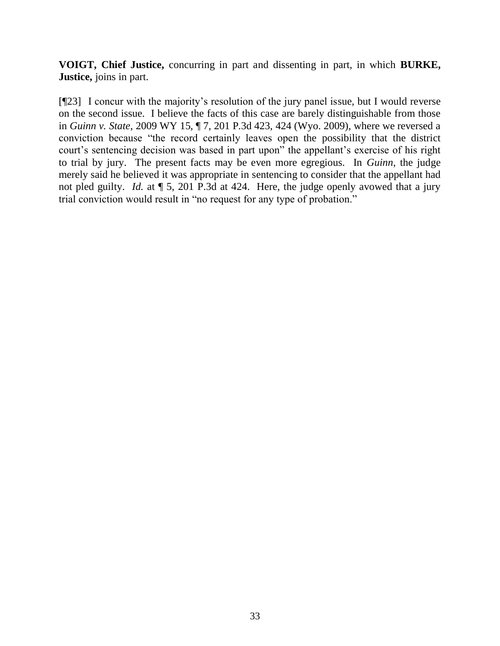**VOIGT, Chief Justice,** concurring in part and dissenting in part, in which **BURKE, Justice,** joins in part.

[¶23] I concur with the majority"s resolution of the jury panel issue, but I would reverse on the second issue. I believe the facts of this case are barely distinguishable from those in *Guinn v. State*, 2009 WY 15, ¶ 7, 201 P.3d 423, 424 (Wyo. 2009), where we reversed a conviction because "the record certainly leaves open the possibility that the district court's sentencing decision was based in part upon" the appellant's exercise of his right to trial by jury. The present facts may be even more egregious. In *Guinn*, the judge merely said he believed it was appropriate in sentencing to consider that the appellant had not pled guilty. *Id.* at ¶ 5, 201 P.3d at 424. Here, the judge openly avowed that a jury trial conviction would result in "no request for any type of probation."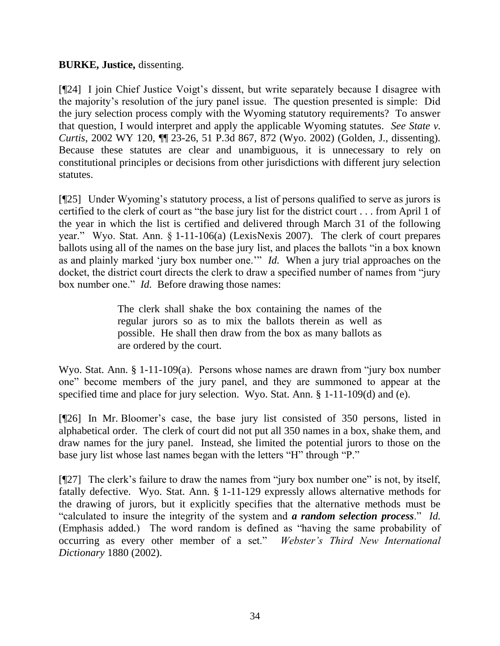## **BURKE, Justice,** dissenting.

[¶24] I join Chief Justice Voigt's dissent, but write separately because I disagree with the majority"s resolution of the jury panel issue. The question presented is simple: Did the jury selection process comply with the Wyoming statutory requirements? To answer that question, I would interpret and apply the applicable Wyoming statutes. *See State v. Curtis*, 2002 WY 120, ¶¶ 23-26, 51 P.3d 867, 872 (Wyo. 2002) (Golden, J., dissenting). Because these statutes are clear and unambiguous, it is unnecessary to rely on constitutional principles or decisions from other jurisdictions with different jury selection statutes.

[¶25] Under Wyoming"s statutory process, a list of persons qualified to serve as jurors is certified to the clerk of court as "the base jury list for the district court . . . from April 1 of the year in which the list is certified and delivered through March 31 of the following year." Wyo. Stat. Ann. § 1-11-106(a) (LexisNexis 2007). The clerk of court prepares ballots using all of the names on the base jury list, and places the ballots "in a box known as and plainly marked "jury box number one."" *Id.* When a jury trial approaches on the docket, the district court directs the clerk to draw a specified number of names from "jury box number one." *Id.* Before drawing those names:

> The clerk shall shake the box containing the names of the regular jurors so as to mix the ballots therein as well as possible. He shall then draw from the box as many ballots as are ordered by the court.

Wyo. Stat. Ann. § 1-11-109(a). Persons whose names are drawn from "jury box number one" become members of the jury panel, and they are summoned to appear at the specified time and place for jury selection. Wyo. Stat. Ann. § 1-11-109(d) and (e).

[¶26] In Mr. Bloomer"s case, the base jury list consisted of 350 persons, listed in alphabetical order. The clerk of court did not put all 350 names in a box, shake them, and draw names for the jury panel. Instead, she limited the potential jurors to those on the base jury list whose last names began with the letters "H" through "P."

[¶27] The clerk"s failure to draw the names from "jury box number one" is not, by itself, fatally defective. Wyo. Stat. Ann. § 1-11-129 expressly allows alternative methods for the drawing of jurors, but it explicitly specifies that the alternative methods must be "calculated to insure the integrity of the system and *a random selection process*." *Id.* (Emphasis added.) The word random is defined as "having the same probability of occurring as every other member of a set." *Webster's Third New International Dictionary* 1880 (2002).